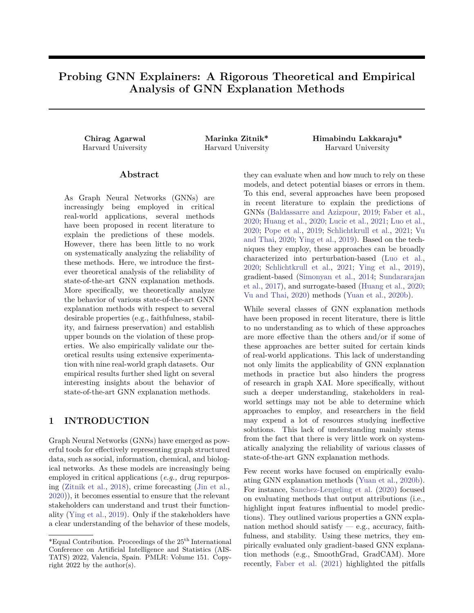# **Probing GNN Explainers: A Rigorous Theoretical and Empirical Analysis of GNN Explanation Methods**

**Chirag Agarwal Marinka Zitnik\* Himabindu Lakkaraju\*** Harvard University Harvard University Harvard University

## **Abstract**

As Graph Neural Networks (GNNs) are increasingly being employed in critical real-world applications, several methods have been proposed in recent literature to explain the predictions of these models. However, there has been little to no work on systematically analyzing the reliability of these methods. Here, we introduce the firstever theoretical analysis of the reliability of state-of-the-art GNN explanation methods. More specifically, we theoretically analyze the behavior of various state-of-the-art GNN explanation methods with respect to several desirable properties (e.g., faithfulness, stability, and fairness preservation) and establish upper bounds on the violation of these properties. We also empirically validate our theoretical results using extensive experimentation with nine real-world graph datasets. Our empirical results further shed light on several interesting insights about the behavior of state-of-the-art GNN explanation methods.

# **1 INTRODUCTION**

Graph Neural Networks (GNNs) have emerged as powerful tools for effectively representing graph structured data, such as social, information, chemical, and biological networks. As these models are increasingly being employed in critical applications (*e.g.,* drug repurposing [\(Zitnik et al.,](#page-10-0) [2018\)](#page-10-0), crime forecasting [\(Jin et al.,](#page-9-0) [2020\)](#page-9-0)), it becomes essential to ensure that the relevant stakeholders can understand and trust their functionality [\(Ying et al.,](#page-10-1) [2019\)](#page-10-1). Only if the stakeholders have a clear understanding of the behavior of these models, they can evaluate when and how much to rely on these models, and detect potential biases or errors in them. To this end, several approaches have been proposed in recent literature to explain the predictions of GNNs [\(Baldassarre and Azizpour,](#page-8-0) [2019;](#page-8-0) [Faber et al.,](#page-9-1) [2020;](#page-9-1) [Huang et al.,](#page-9-2) [2020;](#page-9-2) [Lucic et al.,](#page-9-3) [2021;](#page-9-3) [Luo et al.,](#page-9-4) [2020;](#page-9-4) [Pope et al.,](#page-9-5) [2019;](#page-9-5) [Schlichtkrull et al.,](#page-10-2) [2021;](#page-10-2) [Vu](#page-10-3) [and Thai,](#page-10-3) [2020;](#page-10-3) [Ying et al.,](#page-10-1) [2019\)](#page-10-1). Based on the techniques they employ, these approaches can be broadly characterized into perturbation-based [\(Luo et al.,](#page-9-4) [2020;](#page-9-4) [Schlichtkrull et al.,](#page-10-2) [2021;](#page-10-2) [Ying et al.,](#page-10-1) [2019\)](#page-10-1), gradient-based [\(Simonyan et al.,](#page-10-4) [2014;](#page-10-4) [Sundararajan](#page-10-5) [et al.,](#page-10-5) [2017\)](#page-10-5), and surrogate-based [\(Huang et al.,](#page-9-2) [2020;](#page-9-2) [Vu and Thai,](#page-10-3) [2020\)](#page-10-3) methods [\(Yuan et al.,](#page-10-6) [2020b\)](#page-10-6).

While several classes of GNN explanation methods have been proposed in recent literature, there is little to no understanding as to which of these approaches are more effective than the others and/or if some of these approaches are better suited for certain kinds of real-world applications. This lack of understanding not only limits the applicability of GNN explanation methods in practice but also hinders the progress of research in graph XAI. More specifically, without such a deeper understanding, stakeholders in realworld settings may not be able to determine which approaches to employ, and researchers in the field may expend a lot of resources studying ineffective solutions. This lack of understanding mainly stems from the fact that there is very little work on systematically analyzing the reliability of various classes of state-of-the-art GNN explanation methods.

Few recent works have focused on empirically evaluating GNN explanation methods [\(Yuan et al.,](#page-10-6) [2020b\)](#page-10-6). For instance, [Sanchez-Lengeling et al.](#page-10-7) [\(2020\)](#page-10-7) focused on evaluating methods that output attributions (i.e., highlight input features influential to model predictions). They outlined various properties a GNN explanation method should satisfy — e.g., accuracy, faithfulness, and stability. Using these metrics, they empirically evaluated only gradient-based GNN explanation methods (e.g., SmoothGrad, GradCAM). More recently, [Faber et al.](#page-9-6) [\(2021\)](#page-9-6) highlighted the pitfalls

<sup>\*</sup>Equal Contribution. Proceedings of the 25th International Conference on Artificial Intelligence and Statistics (AIS-TATS) 2022, Valencia, Spain. PMLR: Volume 151. Copyright 2022 by the author(s).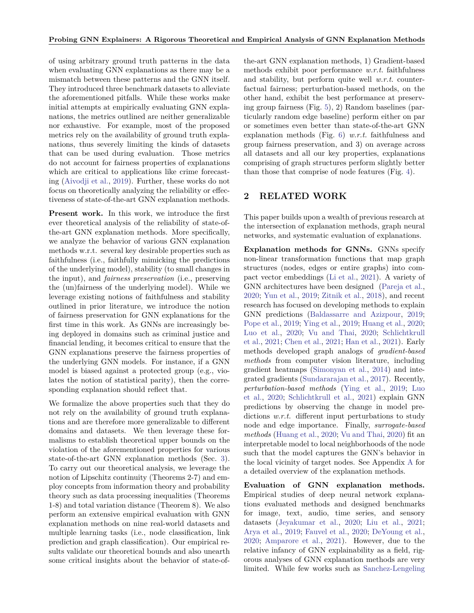of using arbitrary ground truth patterns in the data when evaluating GNN explanations as there may be a mismatch between these patterns and the GNN itself. They introduced three benchmark datasets to alleviate the aforementioned pitfalls. While these works make initial attempts at empirically evaluating GNN explanations, the metrics outlined are neither generalizable nor exhaustive. For example, most of the proposed metrics rely on the availability of ground truth explanations, thus severely limiting the kinds of datasets that can be used during evaluation. Those metrics do not account for fairness properties of explanations which are critical to applications like crime forecasting [\(Aivodji et al.,](#page-8-1) [2019\)](#page-8-1). Further, these works do not focus on theoretically analyzing the reliability or effectiveness of state-of-the-art GNN explanation methods.

**Present work.** In this work, we introduce the first ever theoretical analysis of the reliability of state-ofthe-art GNN explanation methods. More specifically, we analyze the behavior of various GNN explanation methods w.r.t. several key desirable properties such as faithfulness (i.e., faithfully mimicking the predictions of the underlying model), stability (to small changes in the input), and *fairness preservation* (i.e., preserving the (un)fairness of the underlying model). While we leverage existing notions of faithfulness and stability outlined in prior literature, we introduce the notion of fairness preservation for GNN explanations for the first time in this work. As GNNs are increasingly being deployed in domains such as criminal justice and financial lending, it becomes critical to ensure that the GNN explanations preserve the fairness properties of the underlying GNN models. For instance, if a GNN model is biased against a protected group (e.g., violates the notion of statistical parity), then the corresponding explanation should reflect that.

We formalize the above properties such that they do not rely on the availability of ground truth explanations and are therefore more generalizable to different domains and datasets. We then leverage these formalisms to establish theoretical upper bounds on the violation of the aforementioned properties for various state-of-the-art GNN explanation methods (Sec. [3\)](#page-2-0). To carry out our theoretical analysis, we leverage the notion of Lipschitz continuity (Theorems 2-7) and employ concepts from information theory and probability theory such as data processing inequalities (Theorems 1-8) and total variation distance (Theorem 8). We also perform an extensive empirical evaluation with GNN explanation methods on nine real-world datasets and multiple learning tasks (i.e., node classification, link prediction and graph classification). Our empirical results validate our theoretical bounds and also unearth some critical insights about the behavior of state-ofthe-art GNN explanation methods, 1) Gradient-based methods exhibit poor performance *w.r.t.* faithfulness and stability, but perform quite well *w.r.t.* counterfactual fairness; perturbation-based methods, on the other hand, exhibit the best performance at preserving group fairness (Fig. [5\)](#page-24-0), 2) Random baselines (particularly random edge baseline) perform either on par or sometimes even better than state-of-the-art GNN explanation methods (Fig. [6\)](#page-26-0) *w.r.t.* faithfulness and group fairness preservation, and 3) on average across all datasets and all our key properties, explanations comprising of graph structures perform slightly better than those that comprise of node features (Fig. [4\)](#page-23-0).

## **2 RELATED WORK**

This paper builds upon a wealth of previous research at the intersection of explanation methods, graph neural networks, and systematic evaluation of explanations.

**Explanation methods for GNNs.** GNNs specify non-linear transformation functions that map graph structures (nodes, edges or entire graphs) into compact vector embeddings [\(Li et al.,](#page-9-7) [2021\)](#page-9-7). A variety of GNN architectures have been designed [\(Pareja et al.,](#page-9-8) [2020;](#page-9-8) [Yun et al.,](#page-10-8) [2019;](#page-10-8) [Zitnik et al.,](#page-10-0) [2018\)](#page-10-0), and recent research has focused on developing methods to explain GNN predictions [\(Baldassarre and Azizpour,](#page-8-0) [2019;](#page-8-0) [Pope et al.,](#page-9-5) [2019;](#page-9-5) [Ying et al.,](#page-10-1) [2019;](#page-10-1) [Huang et al.,](#page-9-2) [2020;](#page-9-2) [Luo et al.,](#page-9-4) [2020;](#page-9-4) [Vu and Thai,](#page-10-3) [2020;](#page-10-3) [Schlichtkrull](#page-10-2) [et al.,](#page-10-2) [2021;](#page-10-2) [Chen et al.,](#page-8-2) [2021;](#page-8-2) [Han et al.,](#page-9-9) [2021\)](#page-9-9). Early methods developed graph analogs of *gradient-based methods* from computer vision literature, including gradient heatmaps [\(Simonyan et al.,](#page-10-4) [2014\)](#page-10-4) and integrated gradients [\(Sundararajan et al.,](#page-10-5) [2017\)](#page-10-5). Recently, *perturbation-based methods* [\(Ying et al.,](#page-10-1) [2019;](#page-10-1) [Luo](#page-9-4) [et al.,](#page-9-4) [2020;](#page-9-4) [Schlichtkrull et al.,](#page-10-2) [2021\)](#page-10-2) explain GNN predictions by observing the change in model predictions *w.r.t.* different input perturbations to study node and edge importance. Finally, *surrogate-based methods* [\(Huang et al.,](#page-9-2) [2020;](#page-9-2) [Vu and Thai,](#page-10-3) [2020\)](#page-10-3) fit an interpretable model to local neighborhoods of the node such that the model captures the GNN's behavior in the local vicinity of target nodes. See Appendix [A](#page-11-0) for a detailed overview of the explanation methods.

**Evaluation of GNN explanation methods.** Empirical studies of deep neural network explanations evaluated methods and designed benchmarks for image, text, audio, time series, and sensory datasets [\(Jeyakumar et al.,](#page-9-10) [2020;](#page-9-10) [Liu et al.,](#page-9-11) [2021;](#page-9-11) [Arya et al.,](#page-8-3) [2019;](#page-8-3) [Fauvel et al.,](#page-9-12) [2020;](#page-9-12) [DeYoung et al.,](#page-9-13) [2020;](#page-9-13) [Amparore et al.,](#page-8-4) [2021\)](#page-8-4). However, due to the relative infancy of GNN explainability as a field, rigorous analyses of GNN explanation methods are very [limited. While few works such as](#page-10-7) [Sanchez-Lengeling](#page-10-7)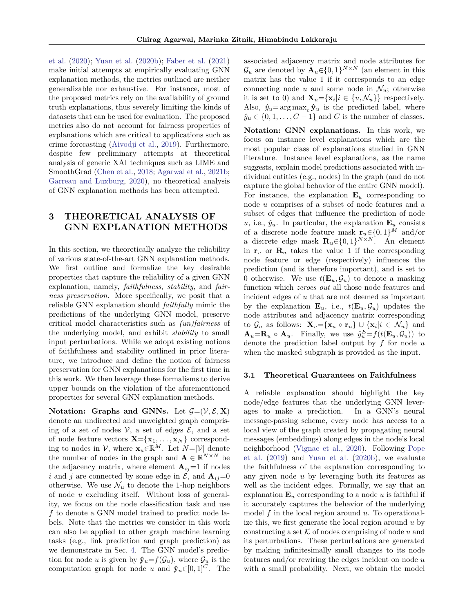[et al.](#page-10-7) [\(2020\)](#page-10-7); [Yuan et al.](#page-10-6) [\(2020b\)](#page-10-6); [Faber et al.](#page-9-6) [\(2021\)](#page-9-6) make initial attempts at empirically evaluating GNN explanation methods, the metrics outlined are neither generalizable nor exhaustive. For instance, most of the proposed metrics rely on the availability of ground truth explanations, thus severely limiting the kinds of datasets that can be used for evaluation. The proposed metrics also do not account for fairness properties of explanations which are critical to applications such as crime forecasting [\(Aivodji et al.,](#page-8-1) [2019\)](#page-8-1). Furthermore, despite few preliminary attempts at theoretical analysis of generic XAI techniques such as LIME and SmoothGrad [\(Chen et al.,](#page-8-5) [2018;](#page-8-5) [Agarwal et al.,](#page-8-6) [2021b;](#page-8-6) [Garreau and Luxburg,](#page-9-14) [2020\)](#page-9-14), no theoretical analysis of GNN explanation methods has been attempted.

# <span id="page-2-0"></span>**3 THEORETICAL ANALYSIS OF GNN EXPLANATION METHODS**

In this section, we theoretically analyze the reliability of various state-of-the-art GNN explanation methods. We first outline and formalize the key desirable properties that capture the reliability of a given GNN explanation, namely, *faithfulness*, *stability*, and *fairness preservation*. More specifically, we posit that a reliable GNN explanation should *faithfully* mimic the predictions of the underlying GNN model, preserve critical model characteristics such as *(un)fairness* of the underlying model, and exhibit *stability* to small input perturbations. While we adopt existing notions of faithfulness and stability outlined in prior literature, we introduce and define the notion of fairness preservation for GNN explanations for the first time in this work. We then leverage these formalisms to derive upper bounds on the violation of the aforementioned properties for several GNN explanation methods.

**Notation:** Graphs and GNNs. Let  $G=(V, \mathcal{E}, \mathbf{X})$ denote an undirected and unweighted graph comprising of a set of nodes  $V$ , a set of edges  $\mathcal{E}$ , and a set of node feature vectors  $\mathbf{X} = {\mathbf{x}_1, \dots, \mathbf{x}_N}$  corresponding to nodes in  $V$ , where  $\mathbf{x}_u \in \mathbb{R}^M$ . Let  $N = |V|$  denote the number of nodes in the graph and  $\mathbf{A} \in \mathbb{R}^{N \times N}$  be the adjacency matrix, where element  $A_{ij}=1$  if nodes *i* and *j* are connected by some edge in  $\mathcal{E}$ , and  $\mathbf{A}_{ij}=0$ otherwise. We use  $\mathcal{N}_u$  to denote the 1-hop neighbors of node *u* excluding itself. Without loss of generality, we focus on the node classification task and use *f* to denote a GNN model trained to predict node labels. Note that the metrics we consider in this work can also be applied to other graph machine learning tasks (e.g., link prediction and graph prediction) as we demonstrate in Sec. [4.](#page-6-0) The GNN model's prediction for node *u* is given by  $\hat{\mathbf{y}}_u = f(\mathcal{G}_u)$ , where  $\mathcal{G}_u$  is the computation graph for node *u* and  $\hat{\mathbf{y}}_u \in [0,1]^C$ . The

associated adjacency matrix and node attributes for  $\mathcal{G}_u$  are denoted by  $\mathbf{A}_u \in \{0,1\}^{N \times N}$  (an element in this matrix has the value 1 if it corresponds to an edge connecting node  $u$  and some node in  $\mathcal{N}_u$ ; otherwise it is set to 0) and  $\mathbf{X}_u = {\mathbf{x}_i | i \in \{u, \mathcal{N}_u\}}$  respectively. Also,  $\hat{y}_u = \arg \max_c \hat{\mathbf{y}}_u$  is the predicted label, where  $\hat{y}_u \in \{0, 1, \ldots, C - 1\}$  and *C* is the number of classes.

**Notation: GNN explanations.** In this work, we focus on instance level explanations which are the most popular class of explanations studied in GNN literature. Instance level explanations, as the name suggests, explain model predictions associated with individual entities (e.g., nodes) in the graph (and do not capture the global behavior of the entire GNN model). For instance, the explanation  $\mathbf{E}_u$  corresponding to node *u* comprises of a subset of node features and a subset of edges that influence the prediction of node  $u$ , i.e.,  $\hat{y}_u$ . In particular, the explanation  $\mathbf{E}_u$  consists of a discrete node feature mask  $\mathbf{r}_u \in \{0, 1\}^M$  and/or a discrete edge mask  $\mathbf{R}_u \in \{0, 1\}^{N \times N}$ . An element in  $\mathbf{r}_u$  or  $\mathbf{R}_u$  takes the value 1 if the corresponding node feature or edge (respectively) influences the prediction (and is therefore important), and is set to 0 otherwise. We use  $t(\mathbf{E}_u, \mathcal{G}_u)$  to denote a masking function which *zeroes out* all those node features and incident edges of *u* that are not deemed as important by the explanation  $\mathbf{E}_u$ , i.e.,  $t(\mathbf{E}_u, \mathcal{G}_u)$  updates the node attributes and adjacency matrix corresponding to  $\mathcal{G}_u$  as follows:  $\mathbf{X}_u = {\mathbf{x}_u \circ \mathbf{r}_u} \cup {\mathbf{x}_i | i \in \mathcal{N}_u}$  and  $\mathbf{A}_u = \mathbf{R}_u \circ \mathbf{A}_u$ . Finally, we use  $\hat{y}_u^E = f(t(\mathbf{E}_u, \mathcal{G}_u))$  to denote the prediction label output by *f* for node *u* when the masked subgraph is provided as the input.

#### <span id="page-2-1"></span>**3.1 Theoretical Guarantees on Faithfulness**

A reliable explanation should highlight the key node/edge features that the underlying GNN leverages to make a prediction. In a GNN's neural message-passing scheme, every node has access to a local view of the graph created by propagating neural messages (embeddings) along edges in the node's local neighborhood [\(Vignac et al.,](#page-10-9) [2020\)](#page-10-9). Following [Pope](#page-9-5) [et al.](#page-9-5) [\(2019\)](#page-9-5) and [Yuan et al.](#page-10-6) [\(2020b\)](#page-10-6), we evaluate the faithfulness of the explanation corresponding to any given node *u* by leveraging both its features as well as the incident edges. Formally, we say that an explanation  $\mathbf{E}_u$  corresponding to a node *u* is faithful if it accurately captures the behavior of the underlying model *f* in the local region around *u*. To operationalize this, we first generate the local region around *u* by constructing a set  $K$  of nodes comprising of node  $u$  and its perturbations. These perturbations are generated by making infinitesimally small changes to its node features and/or rewiring the edges incident on node *u* with a small probability. Next, we obtain the model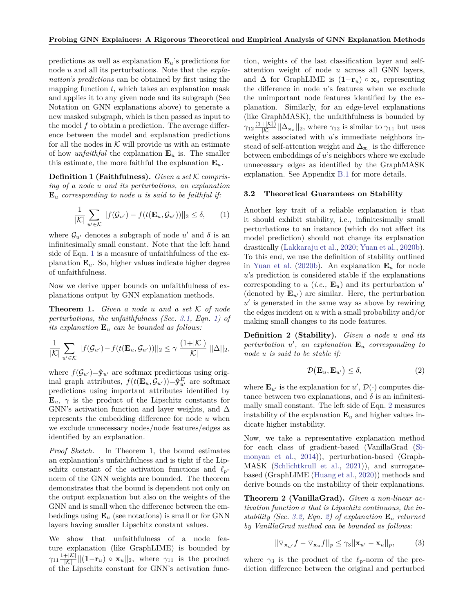predictions as well as explanation  $\mathbf{E}_u$ 's predictions for node *u* and all its perturbations. Note that the *explanation's predictions* can be obtained by first using the mapping function *t*, which takes an explanation mask and applies it to any given node and its subgraph (See Notation on GNN explanations above) to generate a new masked subgraph, which is then passed as input to the model *f* to obtain a prediction. The average difference between the model and explanation predictions for all the nodes in  $K$  will provide us with an estimate of how *unfaithful* the explanation  $\mathbf{E}_u$  is. The smaller this estimate, the more faithful the explanation  $\mathbf{E}_u$ .

**Definition 1 (Faithfulness).** *Given a set* K *comprising of a node u and its perturbations, an explanation* **E***<sup>u</sup> corresponding to node u is said to be faithful if:*

<span id="page-3-0"></span>
$$
\frac{1}{|\mathcal{K}|} \sum_{u' \in \mathcal{K}} ||f(\mathcal{G}_{u'}) - f(t(\mathbf{E}_u, \mathcal{G}_{u'}))||_2 \le \delta, \qquad (1)
$$

where  $\mathcal{G}_{u'}$  denotes a subgraph of node  $u'$  and  $\delta$  is an infinitesimally small constant. Note that the left hand side of Eqn. [1](#page-3-0) is a measure of unfaithfulness of the explanation **E***u*. So, higher values indicate higher degree of unfaithfulness.

Now we derive upper bounds on unfaithfulness of explanations output by GNN explanation methods.

**Theorem 1.** *Given a node u and a set* K *of node perturbations, the unfaithfulness (Sec. [3.1,](#page-2-1) Eqn. [1\)](#page-3-0) of its explanation* **E***<sup>u</sup> can be bounded as follows:*

<span id="page-3-1"></span>
$$
\frac{1}{|\mathcal{K}|} \sum_{u' \in \mathcal{K}} ||f(\mathcal{G}_{u'}) - f(t(\mathbf{E}_u, \mathcal{G}_{u'}))||_2 \leq \gamma \frac{(1+|\mathcal{K}|)}{|\mathcal{K}|} ||\Delta||_2,
$$

where  $f(\mathcal{G}_{u'})=\hat{\mathbf{y}}_{u'}$  are softmax predictions using original graph attributes,  $f(t(\mathbf{E}_u, \mathcal{G}_{u})) = \hat{\mathbf{y}}_{u'}^E$  are softmax predictions using important attributes identified by  $\mathbf{E}_u$ ,  $\gamma$  is the product of the Lipschitz constants for GNN's activation function and layer weights, and  $\Delta$ represents the embedding difference for node *u* when we exclude unnecessary nodes/node features/edges as identified by an explanation.

*Proof Sketch.* In Theorem 1, the bound estimates an explanation's unfaithfulness and is tight if the Lipschitz constant of the activation functions and  $\ell_p$ norm of the GNN weights are bounded. The theorem demonstrates that the bound is dependent not only on the output explanation but also on the weights of the GNN and is small when the difference between the embeddings using  $\mathbf{E}_u$  (see notations) is small or for GNN layers having smaller Lipschitz constant values.

We show that unfaithfulness of a node feature explanation (like GraphLIME) is bounded by  $\gamma_{11} \frac{1+|\mathcal{K}|}{|\mathcal{K}|} ||(1-\mathbf{r}_u) \circ \mathbf{x}_u||_2$ , where  $\gamma_{11}$  is the product of the Lipschitz constant for GNN's activation func-

tion, weights of the last classification layer and selfattention weight of node *u* across all GNN layers, and  $\Delta$  for GraphLIME is  $(1-\mathbf{r}_u) \circ \mathbf{x}_u$  representing the difference in node *u*'s features when we exclude the unimportant node features identified by the explanation. Similarly, for an edge-level explanations (like GraphMASK), the unfaithfulness is bounded by  $\gamma_{12} \frac{(1+|\mathcal{K}|)}{|\mathcal{K}|} ||\Delta_{\mathbf{x}_v}||_2$ , where  $\gamma_{12}$  is similar to  $\gamma_{11}$  but uses weights associated with *u*'s immediate neighbors instead of self-attention weight and  $\Delta_{\mathbf{x}_v}$  is the difference between embeddings of *u*'s neighbors where we exclude unnecessary edges as identified by the GraphMASK explanation. See Appendix [B.1](#page-13-0) for more details.

#### <span id="page-3-2"></span>**3.2 Theoretical Guarantees on Stability**

Another key trait of a reliable explanation is that it should exhibit stability, i.e., infinitesimally small perturbations to an instance (which do not affect its model prediction) should not change its explanation drastically [\(Lakkaraju et al.,](#page-9-15) [2020;](#page-9-15) [Yuan et al.,](#page-10-6) [2020b\)](#page-10-6). To this end, we use the definition of stability outlined in [Yuan et al.](#page-10-6) [\(2020b\)](#page-10-6). An explanation  $\mathbf{E}_u$  for node *u*'s prediction is considered stable if the explanations corresponding to  $u$  (*i.e.*,  $\mathbf{E}_u$ ) and its perturbation  $u'$ (denoted by  $\mathbf{E}_{u}$ ) are similar. Here, the perturbation  $u'$  is generated in the same way as above by rewiring the edges incident on *u* with a small probability and/or making small changes to its node features.

**Definition 2 (Stability).** *Given a node u and its*  $perturbation$   $u'$ , an explanation  $\mathbf{E}_u$  corresponding to *node u is said to be stable if:*

$$
\mathcal{D}(\mathbf{E}_u, \mathbf{E}_{u'}) \le \delta,\tag{2}
$$

where  $\mathbf{E}_{u'}$  is the explanation for  $u'$ ,  $\mathcal{D}(\cdot)$  computes distance between two explanations, and  $\delta$  is an infinitesimally small constant. The left side of Eqn. [2](#page-3-1) measures instability of the explanation  $\mathbf{E}_u$  and higher values indicate higher instability.

Now, we take a representative explanation method for each class of gradient-based (VanillaGrad [\(Si](#page-10-4)[monyan et al.,](#page-10-4) [2014\)](#page-10-4)), perturbation-based (Graph-MASK [\(Schlichtkrull et al.,](#page-10-2) [2021\)](#page-10-2)), and surrogatebased (GraphLIME [\(Huang et al.,](#page-9-2) [2020\)](#page-9-2)) methods and derive bounds on the instability of their explanations.

**Theorem 2 (VanillaGrad).** *Given a non-linear ac-* $$ *stability (Sec. [3.2,](#page-3-2) Eqn. [2\)](#page-3-1) of explanation* **E***<sup>u</sup> returned by VanillaGrad method can be bounded as follows:*

<span id="page-3-3"></span>
$$
||\nabla_{\mathbf{x}_{u'}}f - \nabla_{\mathbf{x}_{u}}f||_{p} \leq \gamma_{3}||\mathbf{x}_{u'} - \mathbf{x}_{u}||_{p}, \qquad (3)
$$

where  $\gamma_3$  is the product of the  $\ell_p$ -norm of the prediction difference between the original and perturbed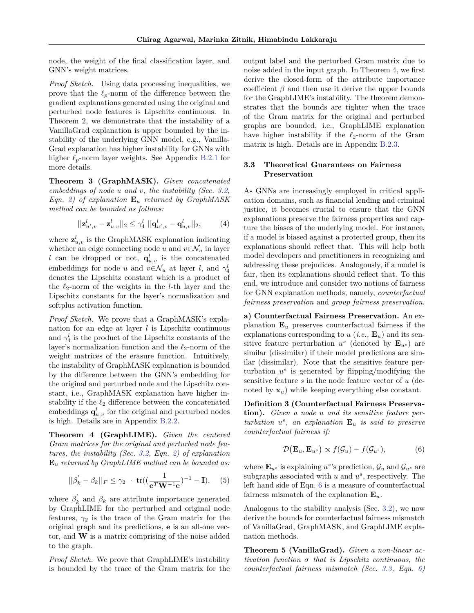node, the weight of the final classification layer, and GNN's weight matrices.

*Proof Sketch.* Using data processing inequalities, we prove that the  $\ell_p$ -norm of the difference between the gradient explanations generated using the original and perturbed node features is Lipschitz continuous. In Theorem 2, we demonstrate that the instability of a VanillaGrad explanation is upper bounded by the instability of the underlying GNN model, e.g., Vanilla-Grad explanation has higher instability for GNNs with higher  $\ell_p$ -norm layer weights. See Appendix [B.2.1](#page-15-0) for more details.

**Theorem 3 (GraphMASK).** *Given concatenated embeddings of node u and v, the instability (Sec. [3.2,](#page-3-2) Eqn. [2\)](#page-3-1) of explanation* **E***<sup>u</sup> returned by GraphMASK method can be bounded as follows:*

$$
||\mathbf{z}_{u',v}^l - \mathbf{z}_{u,v}^l||_2 \leq \gamma_4^l ||\mathbf{q}_{u',v}^l - \mathbf{q}_{u,v}^l||_2, \qquad (4)
$$

where  $\mathbf{z}_{u,v}^l$  is the GraphMASK explanation indicating whether an edge connecting node  $u$  and  $v \in \mathcal{N}_u$  in layer *l* can be dropped or not,  $q_{u,v}^l$  is the concatenated embeddings for node *u* and  $v \in \mathcal{N}_u$  at layer *l*, and  $\gamma_4^l$ denotes the Lipschitz constant which is a product of the  $\ell_2$ -norm of the weights in the *l*-th layer and the Lipschitz constants for the layer's normalization and softplus activation function.

*Proof Sketch.* We prove that a GraphMASK's explanation for an edge at layer *l* is Lipschitz continuous and  $\gamma_4^l$  is the product of the Lipschitz constants of the layer's normalization function and the  $\ell_2$ -norm of the weight matrices of the erasure function. Intuitively, the instability of GraphMASK explanation is bounded by the difference between the GNN's embedding for the original and perturbed node and the Lipschitz constant, i.e., GraphMASK explanation have higher instability if the  $\ell_2$  difference between the concatenated embeddings  $\mathbf{q}_{u,v}^l$  for the original and perturbed nodes is high. Details are in Appendix [B.2.2.](#page-16-0)

**Theorem 4 (GraphLIME).** *Given the centered Gram matrices for the original and perturbed node features, the instability (Sec. [3.2,](#page-3-2) Eqn. [2\)](#page-3-1) of explanation* **E***<sup>u</sup> returned by GraphLIME method can be bounded as:*

$$
||\beta'_{k} - \beta_{k}||_{F} \leq \gamma_{2} \cdot \text{tr}((\frac{1}{e^{T}W^{-1}e})^{-1} - I), \quad (5)
$$

where  $\beta'_{k}$  and  $\beta_{k}$  are attribute importance generated by GraphLIME for the perturbed and original node features,  $\gamma_2$  is the trace of the Gram matrix for the original graph and its predictions, **e** is an all-one vector, and **W** is a matrix comprising of the noise added to the graph.

*Proof Sketch.* We prove that GraphLIME's instability is bounded by the trace of the Gram matrix for the output label and the perturbed Gram matrix due to noise added in the input graph. In Theorem 4, we first derive the closed-form of the attribute importance coefficient  $\beta$  and then use it derive the upper bounds for the GraphLIME's instability. The theorem demonstrates that the bounds are tighter when the trace of the Gram matrix for the original and perturbed graphs are bounded, i.e., GraphLIME explanation have higher instability if the  $\ell_2$ -norm of the Gram matrix is high. Details are in Appendix [B.2.3.](#page-18-0)

## <span id="page-4-1"></span>**3.3 Theoretical Guarantees on Fairness Preservation**

As GNNs are increasingly employed in critical application domains, such as financial lending and criminal justice, it becomes crucial to ensure that the GNN explanations preserve the fairness properties and capture the biases of the underlying model. For instance, if a model is biased against a protected group, then its explanations should reflect that. This will help both model developers and practitioners in recognizing and addressing these prejudices. Analogously, if a model is fair, then its explanations should reflect that. To this end, we introduce and consider two notions of fairness for GNN explanation methods, namely, *counterfactual fairness preservation* and *group fairness preservation*.

**a) Counterfactual Fairness Preservation.** An explanation  $\mathbf{E}_u$  preserves counterfactual fairness if the explanations corresponding to  $u$  (*i.e.*,  $\mathbf{E}_u$ ) and its sensitive feature perturbation  $u^s$  (denoted by  $\mathbf{E}_{u^s}$ ) are similar (dissimilar) if their model predictions are similar (dissimilar). Note that the sensitive feature perturbation  $u^s$  is generated by flipping/modifying the sensitive feature *s* in the node feature vector of *u* (denoted by **x***u*) while keeping everything else constant.

**Definition 3 (Counterfactual Fairness Preservation).** *Given a node u and its sensitive feature perturbation u s , an explanation* **E***<sup>u</sup> is said to preserve counterfactual fairness if:*

<span id="page-4-0"></span>
$$
\mathcal{D}(\mathbf{E}_u, \mathbf{E}_{u^s}) \propto f(\mathcal{G}_u) - f(\mathcal{G}_{u^s}), \tag{6}
$$

where  $\mathbf{E}_{u^s}$  is explaining  $u^s$ 's prediction,  $\mathcal{G}_u$  and  $\mathcal{G}_{u^s}$  are subgraphs associated with *u* and *u s* , respectively. The left hand side of Eqn. [6](#page-4-0) is a measure of counterfactual fairness mismatch of the explanation  $\mathbf{E}_u$ .

Analogous to the stability analysis (Sec. [3.2\)](#page-3-2), we now derive the bounds for counterfactual fairness mismatch of VanillaGrad, GraphMASK, and GraphLIME explanation methods.

**Theorem 5 (VanillaGrad).** *Given a non-linear activation function σ that is Lipschitz continuous, the counterfactual fairness mismatch (Sec. [3.3,](#page-4-1) Eqn. [6\)](#page-4-0)*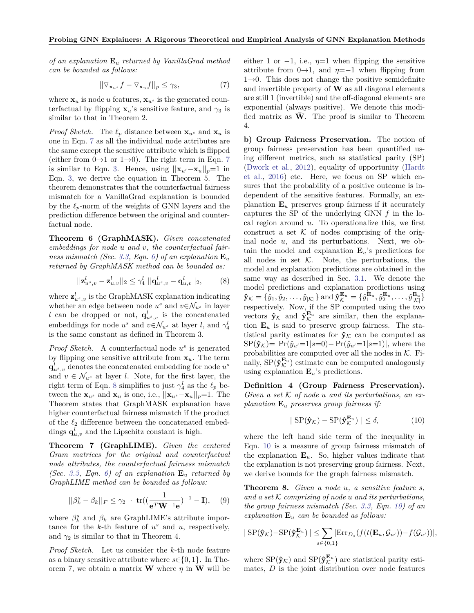*of an explanation* **E***<sup>u</sup> returned by VanillaGrad method can be bounded as follows:*

<span id="page-5-0"></span>
$$
||\nabla_{\mathbf{x}_{u^s}} f - \nabla_{\mathbf{x}_{u}} f||_p \le \gamma_3, \tag{7}
$$

where  $\mathbf{x}_u$  is node *u* features,  $\mathbf{x}_u$ <sup>*s*</sup> is the generated counterfactual by flipping  $\mathbf{x}_u$ 's sensitive feature, and  $\gamma_3$  is similar to that in Theorem 2.

*Proof Sketch.* The  $\ell_p$  distance between  $\mathbf{x}_{u^s}$  and  $\mathbf{x}_{u}$  is one in Eqn. [7](#page-5-0) as all the individual node attributes are the same except the sensitive attribute which is flipped (either from  $0\rightarrow 1$  or  $1\rightarrow 0$ ). The right term in Eqn. [7](#page-5-0) is similar to Eqn. [3.](#page-3-3) Hence, using  $||\mathbf{x}_{u} - \mathbf{x}_{u}||_{p} = 1$  in Eqn. [3,](#page-3-3) we derive the equation in Theorem 5. The theorem demonstrates that the counterfactual fairness mismatch for a VanillaGrad explanation is bounded by the  $\ell_p$ -norm of the weights of GNN layers and the prediction difference between the original and counterfactual node.

**Theorem 6 (GraphMASK).** *Given concatenated embeddings for node u and v, the counterfactual fair-ness mismatch (Sec. [3.3,](#page-4-1) Eqn. [6\)](#page-4-0) of an explanation*  $\mathbf{E}_u$ *returned by GraphMASK method can be bounded as:*

<span id="page-5-1"></span>
$$
||\mathbf{z}_{u^s,v}^l - \mathbf{z}_{u,v}^l||_2 \le \gamma_4^l ||\mathbf{q}_{u^s,v}^l - \mathbf{q}_{u,v}^l||_2, \qquad (8)
$$

where  $\mathbf{z}_{u^s, v}^l$  is the GraphMASK explanation indicating whether an edge between node  $u^s$  and  $v \in \mathcal{N}_{u^s}$  in layer *l* can be dropped or not,  $\mathbf{q}_{u^s,v}^l$  is the concatenated embeddings for node  $u^s$  and  $v \in \mathcal{N}_{u^s}$  at layer *l*, and  $\gamma_4^l$ is the same constant as defined in Theorem 3.

*Proof Sketch.* A counterfactual node *u s* is generated by flipping one sensitive attribute from  $x_u$ . The term  $\mathbf{q}_{u^s,v}^l$  denotes the concatenated embedding for node  $u^s$ and  $v \in \mathcal{N}_{u^s}$  at layer *l*. Note, for the first layer, the right term of Eqn. [8](#page-5-1) simplifies to just  $\gamma_4^l$  as the  $\ell_p$  between the  $\mathbf{x}_u$ <sup>*s*</sup> and  $\mathbf{x}_u$  is one, i.e.,  $||\mathbf{x}_u - \mathbf{x}_u||_p = 1$ . The Theorem states that GraphMASK explanation have higher counterfactual fairness mismatch if the product of the  $\ell_2$  difference between the concatenated embeddings  $\mathbf{q}_{u,v}^l$  and the Lipschitz constant is high.

**Theorem 7 (GraphLIME).** *Given the centered Gram matrices for the original and counterfactual node attributes, the counterfactual fairness mismatch (Sec.* [3.3,](#page-4-1) Eqn. [6\)](#page-4-0) of an explanation  $\mathbf{E}_u$  returned by *GraphLIME method can be bounded as follows:*

$$
||\beta_k^s - \beta_k||_F \le \gamma_2 \cdot \text{tr}((\frac{1}{\mathbf{e}^T \bar{\mathbf{W}}^{-1} \mathbf{e}})^{-1} - \mathbf{I}), \quad (9)
$$

where  $\beta_k^s$  and  $\beta_k$  are GraphLIME's attribute importance for the  $k$ -th feature of  $u^s$  and  $u$ , respectively, and  $\gamma_2$  is similar to that in Theorem 4.

*Proof Sketch.* Let us consider the *k*-th node feature as a binary sensitive attribute where  $s \in \{0, 1\}$ . In Theorem 7, we obtain a matrix **W** where  $\eta$  in **W** will be either 1 or  $-1$ , i.e.,  $\eta=1$  when flipping the sensitive attribute from  $0\rightarrow 1$ , and  $\eta=-1$  when flipping from  $1\rightarrow 0$ . This does not change the positive semidefinite and invertible property of **W** as all diagonal elements are still 1 (invertible) and the off-diagonal elements are exponential (always positive). We denote this modified matrix as **W**. The proof is similar to Theorem 4.

**b) Group Fairness Preservation.** The notion of group fairness preservation has been quantified using different metrics, such as statistical parity (SP) [\(Dwork et al.,](#page-9-16) [2012\)](#page-9-16), equality of opportunity [\(Hardt](#page-9-17) [et al.,](#page-9-17) [2016\)](#page-9-17) etc. Here, we focus on SP which ensures that the probability of a positive outcome is independent of the sensitive features. Formally, an explanation  $\mathbf{E}_u$  preserves group fairness if it accurately captures the SP of the underlying GNN *f* in the local region around *u*. To operationalize this, we first construct a set  $K$  of nodes comprising of the original node *u*, and its perturbations. Next, we obtain the model and explanation  $\mathbf{E}_u$ 's predictions for all nodes in set  $K$ . Note, the perturbations, the model and explanation predictions are obtained in the same way as described in Sec. [3.1.](#page-2-1) We denote the model predictions and explanation predictions using  $\mathbf{\hat{y}}_{\mathcal{K}}=\{\hat{y}_1,\hat{y}_2,\ldots,\hat{y}_{|\mathcal{K}|}\} \text{ and } \mathbf{\hat{y}}_{\mathcal{K}}^{\mathbf{E}_u}=\{\hat{y}_1^{\mathbf{E}_u},\hat{y}_2^{\mathbf{E}_u},\ldots,\hat{y}_{|\mathcal{K}|}^{\mathbf{E}_u}\}$ respectively. Now, if the SP computed using the two vectors  $\hat{\mathbf{y}}_{\mathcal{K}}$  and  $\hat{\mathbf{y}}_{\mathcal{K}}^{\mathbf{E}_u}$  are similar, then the explanation  $\mathbf{E}_u$  is said to preserve group fairness. The statistical parity estimates for  $\hat{\mathbf{y}}_k$  can be computed as  $\text{SP}(\hat{\mathbf{y}}_{\mathcal{K}})=|\Pr(\hat{y}_{u'}=1|s=0)-\Pr(\hat{y}_{u'}=1|s=1)|$ , where the probabilities are computed over all the nodes in  $K$ . Finally,  $\text{SP}(\hat{\mathbf{y}}_{\mathcal{K}}^{\mathbf{E}_u})$  estimate can be computed analogously using explanation **E***u*'s predictions.

**Definition 4 (Group Fairness Preservation).** *Given a set* K *of node u and its perturbations, an explanation* **E***<sup>u</sup> preserves group fairness if:*

<span id="page-5-2"></span>
$$
|\ \text{SP}(\hat{\mathbf{y}}_{\mathcal{K}}) - \text{SP}(\hat{\mathbf{y}}_{\mathcal{K}}^{\mathbf{E}_u}) \ | \leq \delta,
$$
 (10)

where the left hand side term of the inequality in Eqn. [10](#page-5-2) is a measure of group fairness mismatch of the explanation  $\mathbf{E}_u$ . So, higher values indicate that the explanation is not preserving group fairness. Next, we derive bounds for the graph fairness mismatch.

**Theorem 8.** *Given a node u, a sensitive feature s, and a set* K *comprising of node u and its perturbations, the group fairness mismatch (Sec. [3.3,](#page-4-1) Eqn. [10\)](#page-5-2) of an explanation* **E***<sup>u</sup> can be bounded as follows:*

$$
|\text{SP}(\hat{\mathbf{y}}_{\mathcal{K}}) - \text{SP}(\hat{\mathbf{y}}_{\mathcal{K}}^{\mathbf{E}_u})| \leq \sum_{s \in \{0,1\}} |\text{Err}_{D_s}(f(t(\mathbf{E}_u, \mathcal{G}_{u'})) - f(\mathcal{G}_{u'}))|,
$$

where  $\text{SP}(\hat{\mathbf{y}}_{\mathcal{K}})$  and  $\text{SP}(\hat{\mathbf{y}}_{\mathcal{K}}^{\mathbf{E}_u})$  are statistical parity estimates, *D* is the joint distribution over node features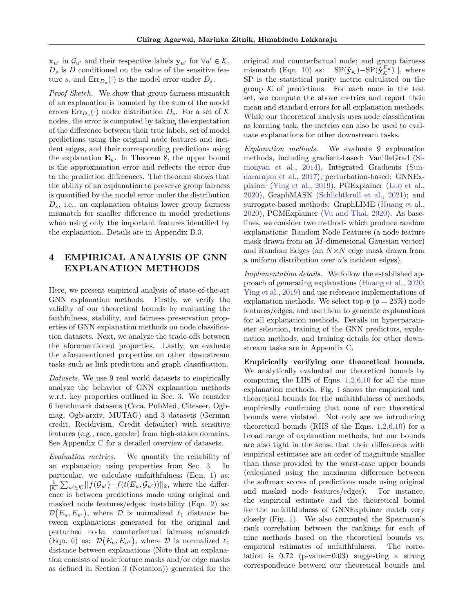**x**<sub>*u*</sub><sup> $\cdot$ </sup> in  $\mathcal{G}_{u}$ <sup> $\cdot$ </sup> and their respective labels **y**<sub>*u*</sub><sup> $\cdot$ </sup> for  $\forall u' \in \mathcal{K}$ ,  $D_s$  is  $D$  conditioned on the value of the sensitive feature *s*, and  $\text{Err}_{D_s}(\cdot)$  is the model error under  $D_s$ .

*Proof Sketch.* We show that group fairness mismatch of an explanation is bounded by the sum of the model errors  $\text{Err}_{D_s}(\cdot)$  under distribution  $D_s$ . For a set of  $\mathcal K$ nodes, the error is computed by taking the expectation of the difference between their true labels, set of model predictions using the original node features and incident edges, and their corresponding predictions using the explanation  $\mathbf{E}_u$ . In Theorem 8, the upper bound is the approximation error and reflects the error due to the prediction differences. The theorem shows that the ability of an explanation to preserve group fairness is quantified by the model error under the distribution  $D_s$ , i.e., an explanation obtains lower group fairness mismatch for smaller difference in model predictions when using only the important features identified by the explanation. Details are in Appendix [B.3.](#page-20-0)

# <span id="page-6-0"></span>**4 EMPIRICAL ANALYSIS OF GNN EXPLANATION METHODS**

Here, we present empirical analysis of state-of-the-art GNN explanation methods. Firstly, we verify the validity of our theoretical bounds by evaluating the faithfulness, stability, and fairness preservation properties of GNN explanation methods on node classification datasets. Next, we analyze the trade-offs between the aforementioned properties. Lastly, we evaluate the aforementioned properties on other downstream tasks such as link prediction and graph classification.

*Datasets.* We use 9 real world datasets to empirically analyze the behavior of GNN explanation methods w.r.t. key properties outlined in Sec. [3.](#page-2-0) We consider 6 benchmark datasets (Cora, PubMed, Citeseer, Ogbmag, Ogb-arxiv, MUTAG) and 3 datasets (German credit, Recidivism, Credit defaulter) with sensitive features (e.g., race, gender) from high-stakes domains. See Appendix [C](#page-21-0) for a detailed overview of datasets.

*Evaluation metrics.* We quantify the reliability of an explanation using properties from Sec. [3.](#page-2-0) In particular, we calculate unfaithfulness (Eqn. [1\)](#page-3-0) as:  $\frac{1}{|\mathcal{K}|}\sum_{u'\in\mathcal{K}}||f(\mathcal{G}_{u'})-f(t(E_u,\mathcal{G}_{u'}))||_2$ , where the difference is between predictions made using original and masked node features/edges; instability (Eqn. [2\)](#page-3-1) as:  $\mathcal{D}(E_u, E_{u'})$ , where  $\mathcal D$  is normalized  $\ell_1$  distance between explanations generated for the original and perturbed node; counterfactual fairness mismatch (Eqn. [6\)](#page-4-0) as:  $\mathcal{D}(E_u, E_{u^s})$ , where  $\mathcal D$  is normalized  $\ell_1$ distance between explanations (Note that an explanation consists of node feature masks and/or edge masks as defined in Section [3](#page-2-0) (Notation)) generated for the original and counterfactual node; and group fairness mismatch (Eqn. [10\)](#page-5-2) as:  $| \text{ SP}(\hat{\mathbf{y}}_{\mathcal{K}}) - \text{SP}(\hat{\mathbf{y}}_{\mathcal{K}}^{E_u}) |$ , where SP is the statistical parity metric calculated on the group  $K$  of predictions. For each node in the test set, we compute the above metrics and report their mean and standard errors for all explanation methods. While our theoretical analysis uses node classification as learning task, the metrics can also be used to evaluate explanations for other downstream tasks.

*Explanation methods.* We evaluate 9 explanation methods, including gradient-based: VanillaGrad [\(Si](#page-10-4)[monyan et al.,](#page-10-4) [2014\)](#page-10-4), Integrated Gradients [\(Sun](#page-10-5)[dararajan et al.,](#page-10-5) [2017\)](#page-10-5); perturbation-based: GNNExplainer [\(Ying et al.,](#page-10-1) [2019\)](#page-10-1), PGExplainer [\(Luo et al.,](#page-9-4) [2020\)](#page-9-4), GraphMASK [\(Schlichtkrull et al.,](#page-10-2) [2021\)](#page-10-2); and surrogate-based methods: GraphLIME [\(Huang et al.,](#page-9-2) [2020\)](#page-9-2), PGMExplainer [\(Vu and Thai,](#page-10-3) [2020\)](#page-10-3). As baselines, we consider two methods which produce random explanations: Random Node Features (a node feature mask drawn from an *M*-dimensional Gaussian vector) and Random Edges (an *N*×*N* edge mask drawn from a uniform distribution over *u*'s incident edges).

*Implementation details.* We follow the established approach of generating explanations [\(Huang et al.,](#page-9-2) [2020;](#page-9-2) [Ying et al.,](#page-10-1) [2019\)](#page-10-1) and use reference implementations of explanation methods. We select top- $p$  ( $p = 25\%$ ) node features/edges, and use them to generate explanations for all explanation methods. Details on hyperparameter selection, training of the GNN predictors, explanation methods, and training details for other downstream tasks are in Appendix [C.](#page-21-0)

**Empirically verifying our theoretical bounds.** We analytically evaluated our theoretical bounds by computing the LHS of Eqns. [1,](#page-3-0)[2](#page-3-1)[,6,](#page-4-0)[10](#page-5-2) for all the nine explanation methods. Fig. [1](#page-7-0) shows the empirical and theoretical bounds for the unfaithfulness of methods, empirically confirming that none of our theoretical bounds were violated. Not only are we introducing theoretical bounds (RHS of the Eqns. [1,](#page-3-0)[2,](#page-3-1)[6](#page-4-0)[,10\)](#page-5-2) for a broad range of explanation methods, but our bounds are also tight in the sense that their differences with empirical estimates are an order of magnitude smaller than those provided by the worst-case upper bounds (calculated using the maximum difference between the softmax scores of predictions made using original and masked node features/edges). For instance, the empirical estimate and the theoretical bound for the unfaithfulness of GNNExplainer match very closely (Fig. [1\)](#page-7-0). We also computed the Spearman's rank correlation between the rankings for each of nine methods based on the theoretical bounds vs. empirical estimates of unfaithfulness. The correlation is 0*.*72 (p-value=0*.*03) suggesting a strong correspondence between our theoretical bounds and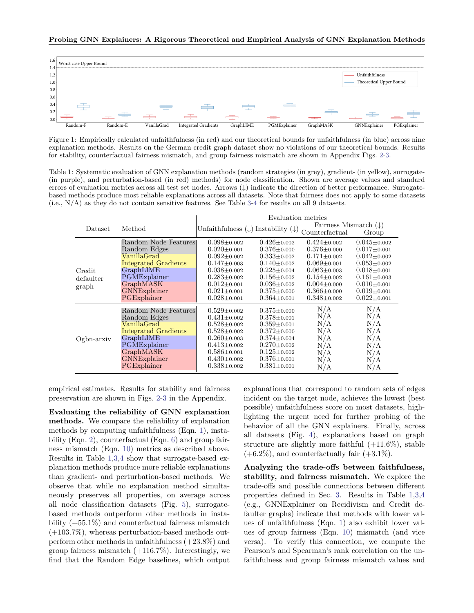<span id="page-7-0"></span>

Figure 1: Empirically calculated unfaithfulness (in red) and our theoretical bounds for unfaithfulness (in blue) across nine explanation methods. Results on the German credit graph dataset show no violations of our theoretical bounds. Results for stability, counterfactual fairness mismatch, and group fairness mismatch are shown in Appendix Figs. [2-](#page-21-1)[3.](#page-23-1)

<span id="page-7-1"></span>Table 1: Systematic evaluation of GNN explanation methods (random strategies (in grey), gradient- (in yellow), surrogate- (in purple), and perturbation-based (in red) methods) for node classification. Shown are average values and standard errors of evaluation metrics across all test set nodes. Arrows (↓) indicate the direction of better performance. Surrogatebased methods produce most reliable explanations across all datasets. Note that fairness does not apply to some datasets  $(i.e., N/A)$  as they do not contain sensitive features. See Table [3](#page-24-1)[-4](#page-25-0) for results on all 9 datasets.

|                              |                                                                                                                                                                   | Evaluation metrics                                                                                                                                                                      |                                                                                                                                                                                           |                                                                                                       |                                                                                                       |
|------------------------------|-------------------------------------------------------------------------------------------------------------------------------------------------------------------|-----------------------------------------------------------------------------------------------------------------------------------------------------------------------------------------|-------------------------------------------------------------------------------------------------------------------------------------------------------------------------------------------|-------------------------------------------------------------------------------------------------------|-------------------------------------------------------------------------------------------------------|
| Dataset                      | Method                                                                                                                                                            |                                                                                                                                                                                         | Unfaithfulness $(\downarrow)$ Instability $(\downarrow)$                                                                                                                                  | Fairness Mismatch $(\downarrow)$<br>Counterfactual                                                    | Group                                                                                                 |
| Credit<br>defaulter<br>graph | Random Node Features<br>Random Edges<br>VanillaGrad<br><b>Integrated Gradients</b>                                                                                | $0.098 \pm 0.002$<br>$0.020 \pm 0.001$<br>$0.092 \pm 0.002$<br>$0.147 \pm 0.003$                                                                                                        | $0.426 \pm 0.002$<br>$0.376 \pm 0.000$<br>$0.333 \pm 0.002$<br>$0.140 \pm 0.002$                                                                                                          | $0.424 \pm 0.002$<br>$0.376 \pm 0.000$<br>$0.171 \pm 0.002$<br>$0.069 \pm 0.001$                      | $0.045 \pm 0.002$<br>$0.017 \pm 0.001$<br>$0.042 \pm 0.002$<br>$0.053 \pm 0.002$                      |
|                              | GraphLIME<br>PGMExplainer<br><b>GraphMASK</b><br><b>GNNExplainer</b><br>PGExplainer                                                                               | $0.038 \pm 0.002$<br>$0.283 \pm 0.002$<br>$0.012 \pm 0.001$<br>$0.021 \pm 0.001$<br>$0.028 \pm 0.001$                                                                                   | $0.225 \pm 0.004$<br>$0.156 \pm 0.002$<br>$0.036 \pm 0.002$<br>$0.375 \pm 0.000$<br>$0.364 \pm 0.001$                                                                                     | $0.063 \pm 0.003$<br>$0.154 \pm 0.002$<br>$0.004 \pm 0.000$<br>$0.366 \pm 0.000$<br>$0.348 \pm 0.002$ | $0.018 \pm 0.001$<br>$0.161 \pm 0.003$<br>$0.010 \pm 0.001$<br>$0.019 \pm 0.001$<br>$0.022 \pm 0.001$ |
| $Ogbn-arxiv$                 | Random Node Features<br>Random Edges<br>$\rm VanillaGrad$<br>Integrated Gradients<br>GraphLIME<br>PGMExplainer<br>GraphMASK<br><b>GNNExplainer</b><br>PGExplainer | $0.529 + 0.002$<br>$0.431 \pm 0.002$<br>$0.528 \pm 0.002$<br>$0.528 \pm 0.002$<br>$0.260 \pm 0.003$<br>$0.413 \pm 0.002$<br>$0.586 \pm 0.001$<br>$0.430 \pm 0.002$<br>$0.338 \pm 0.002$ | $0.375 \pm 0.000$<br>$0.378 \pm 0.001$<br>$0.359 \pm 0.001$<br>$0.372 \pm 0.000$<br>$0.374 \pm 0.004$<br>$0.270 \pm 0.002$<br>$0.125 \pm 0.002$<br>$0.376 \pm 0.001$<br>$0.381 \pm 0.001$ | N/A<br>N/A<br>N/A<br>N/A<br>N/A<br>N/A<br>N/A<br>N/A<br>N/A                                           | N/A<br>N/A<br>N/A<br>N/A<br>N/A<br>N/A<br>N/A<br>N/A<br>N/A                                           |

empirical estimates. Results for stability and fairness preservation are shown in Figs. [2](#page-21-1)[-3](#page-23-1) in the Appendix.

**Evaluating the reliability of GNN explanation methods.** We compare the reliability of explanation methods by computing unfaithfulness (Eqn. [1\)](#page-3-0), insta-bility (Eqn. [2\)](#page-3-1), counterfactual (Eqn. [6\)](#page-4-0) and group fairness mismatch (Eqn. [10\)](#page-5-2) metrics as described above. Results in Table [1](#page-7-1)[,3,](#page-24-1)[4](#page-25-0) show that surrogate-based explanation methods produce more reliable explanations than gradient- and perturbation-based methods. We observe that while no explanation method simultaneously preserves all properties, on average across all node classification datasets (Fig. [5\)](#page-24-0), surrogatebased methods outperform other methods in instability  $(+55.1\%)$  and counterfactual fairness mismatch (+103.7%), whereas perturbation-based methods outperform other methods in unfaithfulness (+23.8%) and group fairness mismatch  $(+116.7\%)$ . Interestingly, we find that the Random Edge baselines, which output explanations that correspond to random sets of edges incident on the target node, achieves the lowest (best possible) unfaithfulness score on most datasets, highlighting the urgent need for further probing of the behavior of all the GNN explainers. Finally, across all datasets (Fig. [4\)](#page-23-0), explanations based on graph structure are slightly more faithful  $(+11.6\%)$ , stable  $(+6.2\%)$ , and counterfactually fair  $(+3.1\%)$ .

**Analyzing the trade-offs between faithfulness, stability, and fairness mismatch.** We explore the trade-offs and possible connections between different properties defined in Sec. [3.](#page-2-0) Results in Table [1](#page-7-1)[,3,](#page-24-1)[4](#page-25-0) (e.g., GNNExplainer on Recidivism and Credit defaulter graphs) indicate that methods with lower values of unfaithfulness (Eqn. [1\)](#page-3-0) also exhibit lower values of group fairness (Eqn. [10\)](#page-5-2) mismatch (and vice versa). To verify this connection, we compute the Pearson's and Spearman's rank correlation on the unfaithfulness and group fairness mismatch values and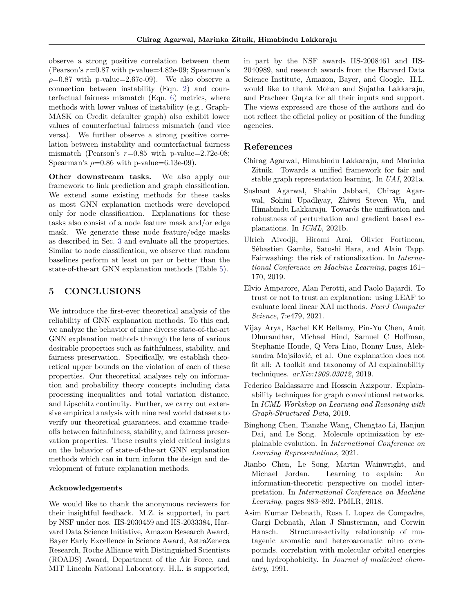observe a strong positive correlation between them (Pearson's *r*=0.87 with p-value=4.82e-09; Spearman's  $\rho$ =0.87 with p-value=2.67e-09). We also observe a connection between instability (Eqn. [2\)](#page-3-1) and counterfactual fairness mismatch (Eqn. [6\)](#page-4-0) metrics, where methods with lower values of instability (e.g., Graph-MASK on Credit defaulter graph) also exhibit lower values of counterfactual fairness mismatch (and vice versa). We further observe a strong positive correlation between instability and counterfactual fairness mismatch (Pearson's  $r=0.85$  with p-value=2.72e-08; Spearman's  $\rho$ =0.86 with p-value=6.13e-09).

**Other downstream tasks.** We also apply our framework to link prediction and graph classification. We extend some existing methods for these tasks as most GNN explanation methods were developed only for node classification. Explanations for these tasks also consist of a node feature mask and/or edge mask. We generate these node feature/edge masks as described in Sec. [3](#page-2-0) and evaluate all the properties. Similar to node classification, we observe that random baselines perform at least on par or better than the state-of-the-art GNN explanation methods (Table [5\)](#page-26-1).

## **5 CONCLUSIONS**

We introduce the first-ever theoretical analysis of the reliability of GNN explanation methods. To this end, we analyze the behavior of nine diverse state-of-the-art GNN explanation methods through the lens of various desirable properties such as faithfulness, stability, and fairness preservation. Specifically, we establish theoretical upper bounds on the violation of each of these properties. Our theoretical analyses rely on information and probability theory concepts including data processing inequalities and total variation distance, and Lipschitz continuity. Further, we carry out extensive empirical analysis with nine real world datasets to verify our theoretical guarantees, and examine tradeoffs between faithfulness, stability, and fairness preservation properties. These results yield critical insights on the behavior of state-of-the-art GNN explanation methods which can in turn inform the design and development of future explanation methods.

#### **Acknowledgements**

We would like to thank the anonymous reviewers for their insightful feedback. M.Z. is supported, in part by NSF under nos. IIS-2030459 and IIS-2033384, Harvard Data Science Initiative, Amazon Research Award, Bayer Early Excellence in Science Award, AstraZeneca Research, Roche Alliance with Distinguished Scientists (ROADS) Award, Department of the Air Force, and MIT Lincoln National Laboratory. H.L. is supported, in part by the NSF awards IIS-2008461 and IIS-2040989, and research awards from the Harvard Data Science Institute, Amazon, Bayer, and Google. H.L. would like to thank Mohan and Sujatha Lakkaraju, and Pracheer Gupta for all their inputs and support. The views expressed are those of the authors and do not reflect the official policy or position of the funding agencies.

### **References**

- <span id="page-8-7"></span>Chirag Agarwal, Himabindu Lakkaraju, and Marinka Zitnik. Towards a unified framework for fair and stable graph representation learning. In *UAI*, 2021a.
- <span id="page-8-6"></span>Sushant Agarwal, Shahin Jabbari, Chirag Agarwal, Sohini Upadhyay, Zhiwei Steven Wu, and Himabindu Lakkaraju. Towards the unification and robustness of perturbation and gradient based explanations. In *ICML*, 2021b.
- <span id="page-8-1"></span>Ulrich Aivodji, Hiromi Arai, Olivier Fortineau, Sébastien Gambs, Satoshi Hara, and Alain Tapp. Fairwashing: the risk of rationalization. In *International Conference on Machine Learning*, pages 161– 170, 2019.
- <span id="page-8-4"></span>Elvio Amparore, Alan Perotti, and Paolo Bajardi. To trust or not to trust an explanation: using LEAF to evaluate local linear XAI methods. *PeerJ Computer Science*, 7:e479, 2021.
- <span id="page-8-3"></span>Vijay Arya, Rachel KE Bellamy, Pin-Yu Chen, Amit Dhurandhar, Michael Hind, Samuel C Hoffman, Stephanie Houde, Q Vera Liao, Ronny Luss, Aleksandra Mojsilović, et al. One explanation does not fit all: A toolkit and taxonomy of AI explainability techniques. *arXiv:1909.03012*, 2019.
- <span id="page-8-0"></span>Federico Baldassarre and Hossein Azizpour. Explainability techniques for graph convolutional networks. In *ICML Workshop on Learning and Reasoning with Graph-Structured Data*, 2019.
- <span id="page-8-2"></span>Binghong Chen, Tianzhe Wang, Chengtao Li, Hanjun Dai, and Le Song. Molecule optimization by explainable evolution. In *International Conference on Learning Representations*, 2021.
- <span id="page-8-5"></span>Jianbo Chen, Le Song, Martin Wainwright, and Michael Jordan. Learning to explain: An information-theoretic perspective on model interpretation. In *International Conference on Machine Learning*, pages 883–892. PMLR, 2018.
- <span id="page-8-8"></span>Asim Kumar Debnath, Rosa L Lopez de Compadre, Gargi Debnath, Alan J Shusterman, and Corwin Hansch. Structure-activity relationship of mutagenic aromatic and heteroaromatic nitro compounds. correlation with molecular orbital energies and hydrophobicity. In *Journal of medicinal chemistry*, 1991.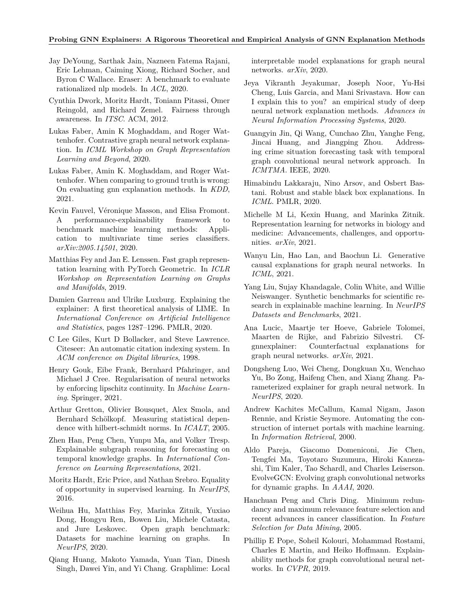- <span id="page-9-13"></span>Jay DeYoung, Sarthak Jain, Nazneen Fatema Rajani, Eric Lehman, Caiming Xiong, Richard Socher, and Byron C Wallace. Eraser: A benchmark to evaluate rationalized nlp models. In *ACL*, 2020.
- <span id="page-9-16"></span>Cynthia Dwork, Moritz Hardt, Toniann Pitassi, Omer Reingold, and Richard Zemel. Fairness through awareness. In *ITSC*. ACM, 2012.
- <span id="page-9-1"></span>Lukas Faber, Amin K Moghaddam, and Roger Wattenhofer. Contrastive graph neural network explanation. In *ICML Workshop on Graph Representation Learning and Beyond*, 2020.
- <span id="page-9-6"></span>Lukas Faber, Amin K. Moghaddam, and Roger Wattenhofer. When comparing to ground truth is wrong: On evaluating gnn explanation methods. In *KDD*, 2021.
- <span id="page-9-12"></span>Kevin Fauvel, Véronique Masson, and Elisa Fromont. A performance-explainability framework to benchmark machine learning methods: Application to multivariate time series classifiers. *arXiv:2005.14501*, 2020.
- <span id="page-9-25"></span>Matthias Fey and Jan E. Lenssen. Fast graph representation learning with PyTorch Geometric. In *ICLR Workshop on Representation Learning on Graphs and Manifolds*, 2019.
- <span id="page-9-14"></span>Damien Garreau and Ulrike Luxburg. Explaining the explainer: A first theoretical analysis of LIME. In *International Conference on Artificial Intelligence and Statistics*, pages 1287–1296. PMLR, 2020.
- <span id="page-9-23"></span>C Lee Giles, Kurt D Bollacker, and Steve Lawrence. Citeseer: An automatic citation indexing system. In *ACM conference on Digital libraries*, 1998.
- <span id="page-9-19"></span>Henry Gouk, Eibe Frank, Bernhard Pfahringer, and Michael J Cree. Regularisation of neural networks by enforcing lipschitz continuity. In *Machine Learning*. Springer, 2021.
- <span id="page-9-21"></span>Arthur Gretton, Olivier Bousquet, Alex Smola, and Bernhard Schölkopf. Measuring statistical dependence with hilbert-schmidt norms. In *ICALT*, 2005.
- <span id="page-9-9"></span>Zhen Han, Peng Chen, Yunpu Ma, and Volker Tresp. Explainable subgraph reasoning for forecasting on temporal knowledge graphs. In *International Conference on Learning Representations*, 2021.
- <span id="page-9-17"></span>Moritz Hardt, Eric Price, and Nathan Srebro. Equality of opportunity in supervised learning. In *NeurIPS*, 2016.
- <span id="page-9-24"></span>Weihua Hu, Matthias Fey, Marinka Zitnik, Yuxiao Dong, Hongyu Ren, Bowen Liu, Michele Catasta, and Jure Leskovec. Open graph benchmark: Datasets for machine learning on graphs. In *NeurIPS*, 2020.
- <span id="page-9-2"></span>Qiang Huang, Makoto Yamada, Yuan Tian, Dinesh Singh, Dawei Yin, and Yi Chang. Graphlime: Local

interpretable model explanations for graph neural networks. *arXiv*, 2020.

- <span id="page-9-10"></span>Jeya Vikranth Jeyakumar, Joseph Noor, Yu-Hsi Cheng, Luis Garcia, and Mani Srivastava. How can I explain this to you? an empirical study of deep neural network explanation methods. *Advances in Neural Information Processing Systems*, 2020.
- <span id="page-9-0"></span>Guangyin Jin, Qi Wang, Cunchao Zhu, Yanghe Feng, Jincai Huang, and Jiangping Zhou. Addressing crime situation forecasting task with temporal graph convolutional neural network approach. In *ICMTMA*. IEEE, 2020.
- <span id="page-9-15"></span>Himabindu Lakkaraju, Nino Arsov, and Osbert Bastani. Robust and stable black box explanations. In *ICML*. PMLR, 2020.
- <span id="page-9-7"></span>Michelle M Li, Kexin Huang, and Marinka Zitnik. Representation learning for networks in biology and medicine: Advancements, challenges, and opportunities. *arXiv*, 2021.
- <span id="page-9-18"></span>Wanyu Lin, Hao Lan, and Baochun Li. Generative causal explanations for graph neural networks. In *ICML*, 2021.
- <span id="page-9-11"></span>Yang Liu, Sujay Khandagale, Colin White, and Willie Neiswanger. Synthetic benchmarks for scientific research in explainable machine learning. In *NeurIPS Datasets and Benchmarks*, 2021.
- <span id="page-9-3"></span>Ana Lucic, Maartje ter Hoeve, Gabriele Tolomei, Maarten de Rijke, and Fabrizio Silvestri. Cfgnnexplainer: Counterfactual explanations for graph neural networks. *arXiv*, 2021.
- <span id="page-9-4"></span>Dongsheng Luo, Wei Cheng, Dongkuan Xu, Wenchao Yu, Bo Zong, Haifeng Chen, and Xiang Zhang. Parameterized explainer for graph neural network. In *NeurIPS*, 2020.
- <span id="page-9-22"></span>Andrew Kachites McCallum, Kamal Nigam, Jason Rennie, and Kristie Seymore. Automating the construction of internet portals with machine learning. In *Information Retrieval*, 2000.
- <span id="page-9-8"></span>Aldo Pareja, Giacomo Domeniconi, Jie Chen, Tengfei Ma, Toyotaro Suzumura, Hiroki Kanezashi, Tim Kaler, Tao Schardl, and Charles Leiserson. EvolveGCN: Evolving graph convolutional networks for dynamic graphs. In *AAAI*, 2020.
- <span id="page-9-20"></span>Hanchuan Peng and Chris Ding. Minimum redundancy and maximum relevance feature selection and recent advances in cancer classification. In *Feature Selection for Data Mining*, 2005.
- <span id="page-9-5"></span>Phillip E Pope, Soheil Kolouri, Mohammad Rostami, Charles E Martin, and Heiko Hoffmann. Explainability methods for graph convolutional neural networks. In *CVPR*, 2019.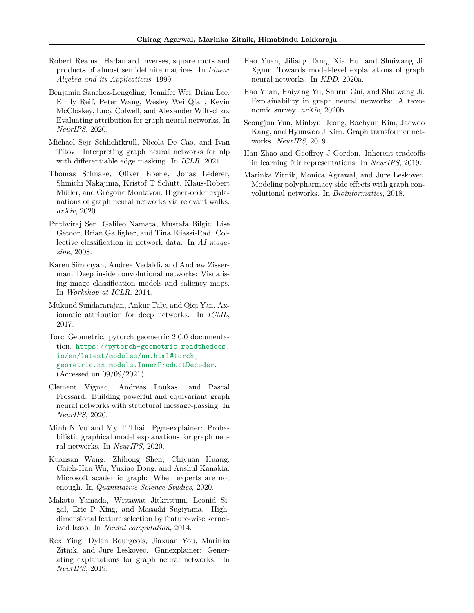- <span id="page-10-13"></span>Robert Reams. Hadamard inverses, square roots and products of almost semidefinite matrices. In *Linear Algebra and its Applications*, 1999.
- <span id="page-10-7"></span>Benjamin Sanchez-Lengeling, Jennifer Wei, Brian Lee, Emily Reif, Peter Wang, Wesley Wei Qian, Kevin McCloskey, Lucy Colwell, and Alexander Wiltschko. Evaluating attribution for graph neural networks. In *NeurIPS*, 2020.
- <span id="page-10-2"></span>Michael Sejr Schlichtkrull, Nicola De Cao, and Ivan Titov. Interpreting graph neural networks for nlp with differentiable edge masking. In *ICLR*, 2021.
- <span id="page-10-10"></span>Thomas Schnake, Oliver Eberle, Jonas Lederer, Shinichi Nakajima, Kristof T Schütt, Klaus-Robert Müller, and Grégoire Montavon. Higher-order explanations of graph neural networks via relevant walks. *arXiv*, 2020.
- <span id="page-10-15"></span>Prithviraj Sen, Galileo Namata, Mustafa Bilgic, Lise Getoor, Brian Galligher, and Tina Eliassi-Rad. Collective classification in network data. In *AI magazine*, 2008.
- <span id="page-10-4"></span>Karen Simonyan, Andrea Vedaldi, and Andrew Zisserman. Deep inside convolutional networks: Visualising image classification models and saliency maps. In *Workshop at ICLR*, 2014.
- <span id="page-10-5"></span>Mukund Sundararajan, Ankur Taly, and Qiqi Yan. Axiomatic attribution for deep networks. In *ICML*, 2017.
- <span id="page-10-17"></span>TorchGeometric. pytorch geometric 2.0.0 documentation. [https://pytorch-geometric.readthedocs.](https://pytorch-geometric.readthedocs.io/en/latest/modules/nn.html#torch_geometric.nn.models.InnerProductDecoder) [io/en/latest/modules/nn.html#torch\\_](https://pytorch-geometric.readthedocs.io/en/latest/modules/nn.html#torch_geometric.nn.models.InnerProductDecoder) [geometric.nn.models.InnerProductDecoder](https://pytorch-geometric.readthedocs.io/en/latest/modules/nn.html#torch_geometric.nn.models.InnerProductDecoder). (Accessed on 09/09/2021).
- <span id="page-10-9"></span>Clement Vignac, Andreas Loukas, and Pascal Frossard. Building powerful and equivariant graph neural networks with structural message-passing. In *NeurIPS*, 2020.
- <span id="page-10-3"></span>Minh N Vu and My T Thai. Pgm-explainer: Probabilistic graphical model explanations for graph neural networks. In *NeurIPS*, 2020.
- <span id="page-10-16"></span>Kuansan Wang, Zhihong Shen, Chiyuan Huang, Chieh-Han Wu, Yuxiao Dong, and Anshul Kanakia. Microsoft academic graph: When experts are not enough. In *Quantitative Science Studies*, 2020.
- <span id="page-10-12"></span>Makoto Yamada, Wittawat Jitkrittum, Leonid Sigal, Eric P Xing, and Masashi Sugiyama. Highdimensional feature selection by feature-wise kernelized lasso. In *Neural computation*, 2014.
- <span id="page-10-1"></span>Rex Ying, Dylan Bourgeois, Jiaxuan You, Marinka Zitnik, and Jure Leskovec. Gnnexplainer: Generating explanations for graph neural networks. In *NeurIPS*, 2019.
- <span id="page-10-11"></span>Hao Yuan, Jiliang Tang, Xia Hu, and Shuiwang Ji. Xgnn: Towards model-level explanations of graph neural networks. In *KDD*, 2020a.
- <span id="page-10-6"></span>Hao Yuan, Haiyang Yu, Shurui Gui, and Shuiwang Ji. Explainability in graph neural networks: A taxonomic survey. *arXiv*, 2020b.
- <span id="page-10-8"></span>Seongjun Yun, Minbyul Jeong, Raehyun Kim, Jaewoo Kang, and Hyunwoo J Kim. Graph transformer networks. *NeurIPS*, 2019.
- <span id="page-10-14"></span>Han Zhao and Geoffrey J Gordon. Inherent tradeoffs in learning fair representations. In *NeurIPS*, 2019.
- <span id="page-10-0"></span>Marinka Zitnik, Monica Agrawal, and Jure Leskovec. Modeling polypharmacy side effects with graph convolutional networks. In *Bioinformatics*, 2018.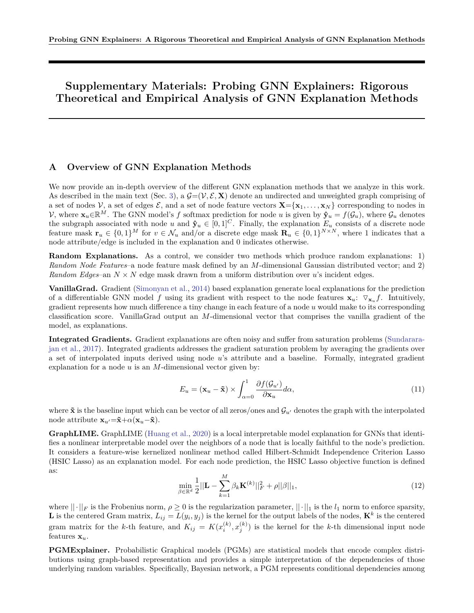# **Supplementary Materials: Probing GNN Explainers: Rigorous Theoretical and Empirical Analysis of GNN Explanation Methods**

## <span id="page-11-0"></span>**A Overview of GNN Explanation Methods**

We now provide an in-depth overview of the different GNN explanation methods that we analyze in this work. As described in the main text (Sec. [3\)](#page-2-0), a  $\mathcal{G}=(\mathcal{V}, \mathcal{E}, \mathbf{X})$  denote an undirected and unweighted graph comprising of a set of nodes  $V$ , a set of edges  $\mathcal{E}$ , and a set of node feature vectors  $\mathbf{X} = \{x_1, \ldots, x_N\}$  corresponding to nodes in V, where  $\mathbf{x}_u \in \mathbb{R}^M$ . The GNN model's f softmax prediction for node *u* is given by  $\mathbf{\hat{y}}_u = f(\mathcal{G}_u)$ , where  $\mathcal{G}_u$  denotes the subgraph associated with node *u* and  $\hat{\mathbf{y}}_u \in [0,1]^C$ . Finally, the explanation  $E_u$  consists of a discrete node feature mask  $\mathbf{r}_u \in \{0,1\}^M$  for  $v \in \mathcal{N}_u$  and/or a discrete edge mask  $\mathbf{R}_u \in \{0,1\}^{N \times N}$ , where 1 indicates that a node attribute/edge is included in the explanation and 0 indicates otherwise.

**Random Explanations.** As a control, we consider two methods which produce random explanations: 1) *Random Node Features*–a node feature mask defined by an *M*-dimensional Gaussian distributed vector; and 2) *Random Edges*–an  $N \times N$  edge mask drawn from a uniform distribution over *u*'s incident edges.

**VanillaGrad.** Gradient [\(Simonyan et al.,](#page-10-4) [2014\)](#page-10-4) based explanation generate local explanations for the prediction of a differentiable GNN model f using its gradient with respect to the node features  $\mathbf{x}_u$ :  $\nabla_{\mathbf{x}_u} f$ . Intuitively, gradient represents how much difference a tiny change in each feature of a node *u* would make to its corresponding classification score. VanillaGrad output an *M*-dimensional vector that comprises the vanilla gradient of the model, as explanations.

**Integrated Gradients.** Gradient explanations are often noisy and suffer from saturation problems [\(Sundarara](#page-10-5)[jan et al.,](#page-10-5) [2017\)](#page-10-5). Integrated gradients addresses the gradient saturation problem by averaging the gradients over a set of interpolated inputs derived using node *u*'s attribute and a baseline. Formally, integrated gradient explanation for a node *u* is an *M*-dimensional vector given by:

$$
E_u = (\mathbf{x}_u - \tilde{\mathbf{x}}) \times \int_{\alpha=0}^1 \frac{\partial f(\mathcal{G}_{u'})}{\partial \mathbf{x}_u} d\alpha,
$$
\n(11)

where  $\tilde{\mathbf{x}}$  is the baseline input which can be vector of all zeros/ones and  $\mathcal{G}_{u'}$  denotes the graph with the interpolated node attribute  $\mathbf{x}_{u'} = \tilde{\mathbf{x}} + \alpha(\mathbf{x}_u - \tilde{\mathbf{x}}).$ 

**GraphLIME.** GraphLIME [\(Huang et al.,](#page-9-2) [2020\)](#page-9-2) is a local interpretable model explanation for GNNs that identifies a nonlinear interpretable model over the neighbors of a node that is locally faithful to the node's prediction. It considers a feature-wise kernelized nonlinear method called Hilbert-Schmidt Independence Criterion Lasso (HSIC Lasso) as an explanation model. For each node prediction, the HSIC Lasso objective function is defined as:

<span id="page-11-1"></span>
$$
\min_{\beta \in \mathbb{R}^d} \frac{1}{2} ||\mathbf{L} - \sum_{k=1}^M \beta_k \mathbf{K}^{(k)}||_F^2 + \rho ||\beta||_1,
$$
\n(12)

where  $||\cdot||_F$  is the Frobenius norm,  $\rho \geq 0$  is the regularization parameter,  $||\cdot||_1$  is the  $l_1$  norm to enforce sparsity, L is the centered Gram matrix,  $L_{ij} = L(y_i, y_j)$  is the kernel for the output labels of the nodes,  $\mathbf{K}^k$  is the centered gram matrix for the *k*-th feature, and  $K_{ij} = K(x_i^{(k)}, x_j^{(k)})$  is the kernel for the *k*-th dimensional input node features  $\mathbf{x}_u$ .

**PGMExplainer.** Probabilistic Graphical models (PGMs) are statistical models that encode complex distributions using graph-based representation and provides a simple interpretation of the dependencies of those underlying random variables. Specifically, Bayesian network, a PGM represents conditional dependencies among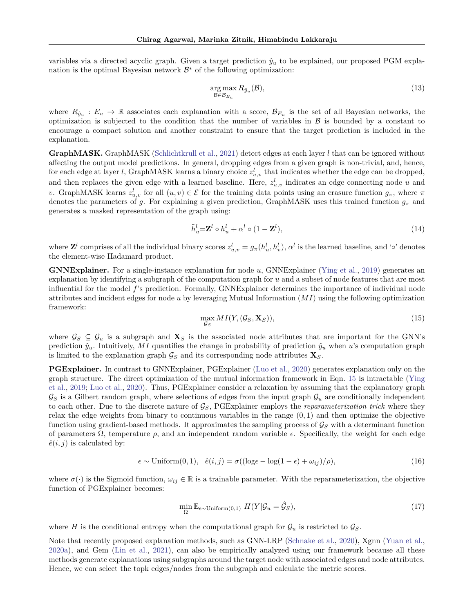variables via a directed acyclic graph. Given a target prediction  $\hat{y}_u$  to be explained, our proposed PGM explanation is the optimal Bayesian network  $\mathcal{B}^*$  of the following optimization:

$$
\underset{\mathcal{B}\in\mathcal{B}_{E_u}}{\arg\max} R_{\hat{y}_u}(\mathcal{B}),\tag{13}
$$

where  $R_{\hat{y}_u}: E_u \to \mathbb{R}$  associates each explanation with a score,  $\mathcal{B}_{E_u}$  is the set of all Bayesian networks, the optimization is subjected to the condition that the number of variables in  $\beta$  is bounded by a constant to encourage a compact solution and another constraint to ensure that the target prediction is included in the explanation.

**GraphMASK.** GraphMASK [\(Schlichtkrull et al.,](#page-10-2) [2021\)](#page-10-2) detect edges at each layer *l* that can be ignored without affecting the output model predictions. In general, dropping edges from a given graph is non-trivial, and, hence, for each edge at layer *l*, GraphMASK learns a binary choice  $z_{u,v}^l$  that indicates whether the edge can be dropped, and then replaces the given edge with a learned baseline. Here,  $z_{u,v}^l$  indicates an edge connecting node *u* and *v*. GraphMASK learns  $z_{u,v}^l$  for all  $(u, v) \in \mathcal{E}$  for the training data points using an erasure function  $g_\pi$ , where  $\pi$ denotes the parameters of *g*. For explaining a given prediction, GraphMASK uses this trained function *g<sup>π</sup>* and generates a masked representation of the graph using:

$$
\tilde{h}_u^l = \mathbf{Z}^l \circ h_u^l + \alpha^l \circ (1 - \mathbf{Z}^l),\tag{14}
$$

where  $\mathbf{Z}^l$  comprises of all the individual binary scores  $z_{u,v}^l = g_\pi(h_u^l, h_v^l), \alpha^l$  is the learned baseline, and ' $\circ$ ' denotes the element-wise Hadamard product.

**GNNExplainer.** For a single-instance explanation for node *u*, GNNExplainer [\(Ying et al.,](#page-10-1) [2019\)](#page-10-1) generates an explanation by identifying a subgraph of the computation graph for *u* and a subset of node features that are most influential for the model *f*'s prediction. Formally, GNNExplainer determines the importance of individual node attributes and incident edges for node *u* by leveraging Mutual Information (*MI*) using the following optimization framework:

<span id="page-12-0"></span>
$$
\max_{\mathcal{G}_S} MI(Y, (\mathcal{G}_S, \mathbf{X}_S)),\tag{15}
$$

where  $\mathcal{G}_S \subseteq \mathcal{G}_u$  is a subgraph and  $\mathbf{X}_S$  is the associated node attributes that are important for the GNN's prediction  $\hat{y}_u$ . Intuitively, MI quantifies the change in probability of prediction  $\hat{y}_u$  when *u*'s computation graph is limited to the explanation graph  $\mathcal{G}_S$  and its corresponding node attributes  $\mathbf{X}_S$ .

**PGExplainer.** In contrast to GNNExplainer, PGExplainer [\(Luo et al.,](#page-9-4) [2020\)](#page-9-4) generates explanation only on the graph structure. The direct optimization of the mutual information framework in Eqn. [15](#page-12-0) is intractable [\(Ying](#page-10-1) [et al.,](#page-10-1) [2019;](#page-10-1) [Luo et al.,](#page-9-4) [2020\)](#page-9-4). Thus, PGExplainer consider a relaxation by assuming that the explanatory graph  $\mathcal{G}_S$  is a Gilbert random graph, where selections of edges from the input graph  $\mathcal{G}_u$  are conditionally independent to each other. Due to the discrete nature of G*S*, PGExplainer employs the *reparameterization trick* where they relax the edge weights from binary to continuous variables in the range (0*,* 1) and then optimize the objective function using gradient-based methods. It approximates the sampling process of G*<sup>S</sup>* with a determinant function of parameters  $\Omega$ , temperature  $\rho$ , and an independent random variable  $\epsilon$ . Specifically, the weight for each edge  $\hat{e}(i, j)$  is calculated by:

$$
\epsilon \sim \text{Uniform}(0, 1), \quad \hat{e}(i, j) = \sigma((\log \epsilon - \log(1 - \epsilon) + \omega_{ij})/\rho), \tag{16}
$$

where  $\sigma(\cdot)$  is the Sigmoid function,  $\omega_{ij} \in \mathbb{R}$  is a trainable parameter. With the reparameterization, the objective function of PGExplainer becomes:

$$
\min_{\Omega} \mathbb{E}_{\epsilon \sim \text{Uniform}(0,1)} \ H(Y|\mathcal{G}_u = \hat{\mathcal{G}}_S),\tag{17}
$$

where *H* is the conditional entropy when the computational graph for  $\mathcal{G}_u$  is restricted to  $\mathcal{G}_S$ .

Note that recently proposed explanation methods, such as GNN-LRP [\(Schnake et al.,](#page-10-10) [2020\)](#page-10-10), Xgnn [\(Yuan et al.,](#page-10-11) [2020a\)](#page-10-11), and Gem [\(Lin et al.,](#page-9-18) [2021\)](#page-9-18), can also be empirically analyzed using our framework because all these methods generate explanations using subgraphs around the target node with associated edges and node attributes. Hence, we can select the topk edges/nodes from the subgraph and calculate the metric scores.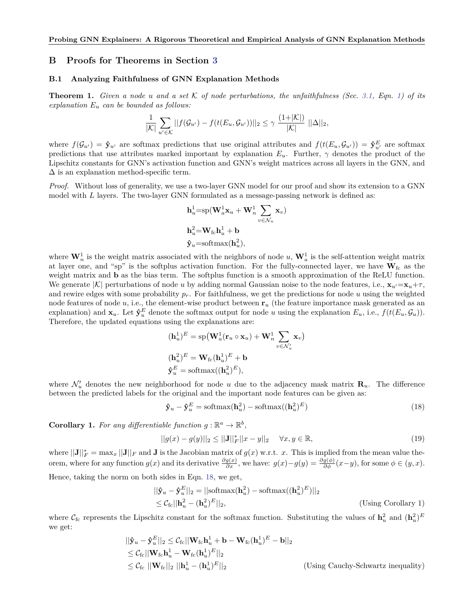## **B Proofs for Theorems in Section [3](#page-2-0)**

#### <span id="page-13-0"></span>**B.1 Analyzing Faithfulness of GNN Explanation Methods**

**Theorem 1.** *Given a node u and a set*  $K$  *of node perturbations, the unfaithfulness (Sec. [3.1,](#page-2-1) Eqn. [1\)](#page-3-0) of its explanation E<sup>u</sup> can be bounded as follows:*

<span id="page-13-1"></span>
$$
\frac{1}{|\mathcal{K}|} \sum_{u' \in \mathcal{K}} ||f(\mathcal{G}_{u'}) - f(t(E_u, \mathcal{G}_{u'}))||_2 \leq \gamma \frac{(1+|\mathcal{K}|)}{|\mathcal{K}|} ||\Delta||_2,
$$

where  $f(\mathcal{G}_{u'}) = \hat{\mathbf{y}}_{u'}$  are softmax predictions that use original attributes and  $f(t(E_u, \mathcal{G}_{u'})) = \hat{\mathbf{y}}_{u'}^E$  are softmax predictions that use attributes marked important by explanation  $E_u$ . Further,  $\gamma$  denotes the product of the Lipschitz constants for GNN's activation function and GNN's weight matrices across all layers in the GNN, and  $\Delta$  is an explanation method-specific term.

*Proof.* Without loss of generality, we use a two-layer GNN model for our proof and show its extension to a GNN model with *L* layers. The two-layer GNN formulated as a message-passing network is defined as:

$$
\mathbf{h}_u^1 = \mathrm{sp}(\mathbf{W}_a^1 \mathbf{x}_u + \mathbf{W}_n^1 \sum_{v \in \mathcal{N}_u} \mathbf{x}_v)
$$
  

$$
\mathbf{h}_u^2 = \mathbf{W}_{\mathrm{fc}} \mathbf{h}_u^1 + \mathbf{b}
$$
  

$$
\hat{\mathbf{y}}_u = \mathrm{softmax}(\mathbf{h}_u^2),
$$

where  $\mathbf{W}_n^1$  is the weight matrix associated with the neighbors of node  $u$ ,  $\mathbf{W}_a^1$  is the self-attention weight matrix at layer one, and "sp" is the softplus activation function. For the fully-connected layer, we have  $W_{fc}$  as the weight matrix and **b** as the bias term. The softplus function is a smooth approximation of the ReLU function. We generate  $|K|$  perturbations of node *u* by adding normal Gaussian noise to the node features, i.e.,  $\mathbf{x}_u = \mathbf{x}_u + \tau$ , and rewire edges with some probability  $p_r$ . For faithfulness, we get the predictions for node  $u$  using the weighted node features of node *u*, i.e., the element-wise product between  $\mathbf{r}_u$  (the feature importance mask generated as an explanation) and  $\mathbf{x}_u$ . Let  $\hat{\mathbf{y}}_u^E$  denote the softmax output for node *u* using the explanation  $E_u$ , i.e.,  $f(t(E_u, \mathcal{G}_u))$ . Therefore, the updated equations using the explanations are:

$$
\begin{aligned} (\mathbf{h}_u^1)^E &= \mathrm{sp}\left(\mathbf{W}_a^1(\mathbf{r}_u \circ \mathbf{x}_u) + \mathbf{W}_n^1 \sum_{v \in \mathcal{N}_u'} \mathbf{x}_v\right) \\ (\mathbf{h}_u^2)^E &= \mathbf{W}_{\text{fc}}(\mathbf{h}_u^1)^E + \mathbf{b} \\ \hat{\mathbf{y}}_u^E &= \mathrm{softmax}((\mathbf{h}_u^2)^E), \end{aligned}
$$

where  $\mathcal{N}'_u$  denotes the new neighborhood for node *u* due to the adjacency mask matrix  $\mathbf{R}_u$ . The difference between the predicted labels for the original and the important node features can be given as:

$$
\hat{\mathbf{y}}_u - \hat{\mathbf{y}}_u^E = \text{softmax}(\mathbf{h}_u^2) - \text{softmax}((\mathbf{h}_u^2)^E)
$$
\n(18)

**Corollary 1.** For any differentiable function  $g : \mathbb{R}^a \to \mathbb{R}^b$ ,

$$
||g(x) - g(y)||_2 \le ||\mathbf{J}||_F^* ||x - y||_2 \quad \forall x, y \in \mathbb{R},
$$
\n(19)

where  $||\mathbf{J}||_F^* = \max_x ||\mathbf{J}||_F$  and  $\mathbf{J}$  is the Jacobian matrix of  $g(x)$  w.r.t. *x*. This is implied from the mean value theorem, where for any function  $g(x)$  and its derivative  $\frac{\partial g(x)}{\partial x}$ , we have:  $g(x)-g(y)=\frac{\partial g(\phi)}{\partial \phi}(x-y)$ , for some  $\phi \in (y, x)$ . Hence, taking the norm on both sides in Eqn. [18,](#page-13-1) we get,

$$
\begin{aligned} ||\mathbf{\hat{y}}_u - \mathbf{\hat{y}}_u^E||_2 &= ||\text{softmax}(\mathbf{h}_u^2) - \text{softmax}((\mathbf{h}_u^2)^E)||_2 \\ &\leq \mathcal{C}_{\text{fc}}||\mathbf{h}_u^2 - (\mathbf{h}_u^2)^E||_2, \end{aligned} \tag{Using Corollary 1}
$$

where  $\mathcal{C}_{\text{fc}}$  represents the Lipschitz constant for the softmax function. Substituting the values of  $\mathbf{h}_u^2$  and  $(\mathbf{h}_u^2)^E$ we get:

$$
\begin{aligned}\n||\mathbf{\hat{y}}_u - \mathbf{\hat{y}}_u^E||_2 &\leq \mathcal{C}_{\text{fc}}||\mathbf{W}_{\text{fc}}\mathbf{h}_u^1 + \mathbf{b} - \mathbf{W}_{\text{fc}}(\mathbf{h}_u^1)^E - \mathbf{b}||_2 \\
&\leq \mathcal{C}_{\text{fc}}||\mathbf{W}_{\text{fc}}\mathbf{h}_u^1 - \mathbf{W}_{\text{fc}}(\mathbf{h}_u^1)^E||_2 \\
&\leq \mathcal{C}_{\text{fc}}||\mathbf{W}_{\text{fc}}||_2||\mathbf{h}_u^1 - (\mathbf{h}_u^1)^E||_2\n\end{aligned}
$$
\n(Using Cauchy-Schwartz inequality)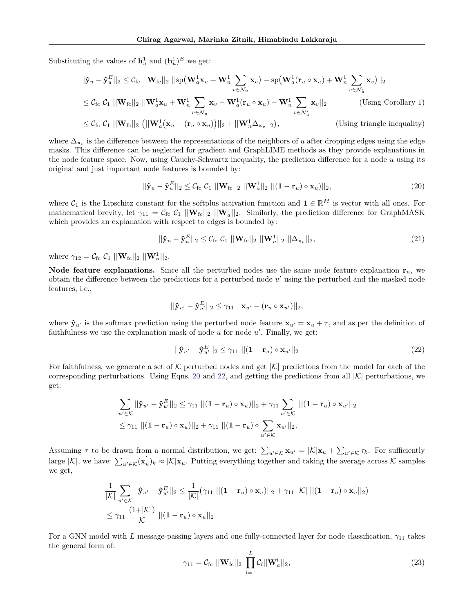Substituting the values of  $\mathbf{h}_u^1$  and  $(\mathbf{h}_u^1)^E$  we get:

$$
||\hat{\mathbf{y}}_u - \hat{\mathbf{y}}_u^E||_2 \leq C_{\text{fc}} ||\mathbf{W}_{\text{fc}}||_2 ||\text{sp}(\mathbf{W}_a^1 \mathbf{x}_u + \mathbf{W}_n^1 \sum_{v \in \mathcal{N}_u} \mathbf{x}_v) - \text{sp}(\mathbf{W}_a^1(\mathbf{r}_u \circ \mathbf{x}_u) + \mathbf{W}_n^1 \sum_{v \in \mathcal{N}_u'} \mathbf{x}_v)||_2
$$
  
\n
$$
\leq C_{\text{fc}} C_1 ||\mathbf{W}_{\text{fc}}||_2 ||\mathbf{W}_a^1 \mathbf{x}_u + \mathbf{W}_n^1 \sum_{v \in \mathcal{N}_u} \mathbf{x}_v - \mathbf{W}_a^1(\mathbf{r}_u \circ \mathbf{x}_u) - \mathbf{W}_n^1 \sum_{v \in \mathcal{N}_u'} \mathbf{x}_v||_2
$$
 (Using Corollary 1)  
\n
$$
\leq C_{\text{fc}} C_1 ||\mathbf{W}_{\text{fc}}||_2 ||\mathbf{W}_a^1(\mathbf{x}_u - (\mathbf{r}_u \circ \mathbf{x}_u))||_2 + ||\mathbf{W}_a^1(\mathbf{A}_u)||_2
$$
 (Using Corollary 1)

$$
\leq \mathcal{C}_{\text{fc}} \; \mathcal{C}_1 \; ||\mathbf{W}_{\text{fc}}||_2 \; (||\mathbf{W}_a^1(\mathbf{x}_u - (\mathbf{r}_u \circ \mathbf{x}_u))||_2 + ||\mathbf{W}_n^1 \Delta_{\mathbf{x}_v}||_2), \qquad \qquad \text{(Using triangle inequality)}
$$

where ∆**<sup>x</sup>***<sup>v</sup>* is the difference between the representations of the neighbors of *u* after dropping edges using the edge masks. This difference can be neglected for gradient and GraphLIME methods as they provide explanations in the node feature space. Now, using Cauchy-Schwartz inequality, the prediction difference for a node *u* using its original and just important node features is bounded by:

<span id="page-14-0"></span>
$$
||\hat{\mathbf{y}}_u - \hat{\mathbf{y}}_u^E||_2 \leq C_{\text{fc}} C_1 ||\mathbf{W}_{\text{fc}}||_2 ||\mathbf{W}_a^1||_2 ||(\mathbf{1} - \mathbf{r}_u) \circ \mathbf{x}_u||_2,
$$
\n(20)

where  $\mathcal{C}_1$  is the Lipschitz constant for the softplus activation function and  $\mathbf{1} \in \mathbb{R}^M$  is vector with all ones. For mathematical brevity, let  $\gamma_{11} = C_{\text{fc}} C_1 ||\mathbf{W}_{\text{fc}}||_2 ||\mathbf{W}_{a}^1||_2$ . Similarly, the prediction difference for GraphMASK which provides an explanation with respect to edges is bounded by:

<span id="page-14-2"></span>
$$
||\hat{\mathbf{y}}_u - \hat{\mathbf{y}}_u^E||_2 \leq \mathcal{C}_{\text{fc}} \mathcal{C}_1 ||\mathbf{W}_{\text{fc}}||_2 ||\mathbf{W}_n^1||_2 ||\Delta_{\mathbf{x}_v}||_2,
$$
\n(21)

where  $\gamma_{12} = C_{\text{fc}} C_1 ||\mathbf{W}_{\text{fc}}||_2 ||\mathbf{W}_n^1||_2$ .

**Node feature explanations.** Since all the perturbed nodes use the same node feature explanation  $\mathbf{r}_u$ , we obtain the difference between the predictions for a perturbed node u' using the perturbed and the masked node features, i.e.,

$$
||\mathbf{\hat{y}}_{u'} - \mathbf{\hat{y}}_{u'}^E||_2 \leq \gamma_{11} ||\mathbf{x}_{u'} - (\mathbf{r}_u \circ \mathbf{x}_{u'})||_2,
$$

where  $\hat{\mathbf{y}}_{u'}$  is the softmax prediction using the perturbed node feature  $\mathbf{x}_{u'} = \mathbf{x}_u + \tau$ , and as per the definition of faithfulness we use the explanation mask of node  $u$  for node  $u'$ . Finally, we get:

<span id="page-14-1"></span>
$$
||\mathbf{\hat{y}}_{u'} - \mathbf{\hat{y}}_u^E||_2 \le \gamma_{11} ||(\mathbf{1} - \mathbf{r}_u) \circ \mathbf{x}_{u'}||_2
$$
\n(22)

For faithfulness, we generate a set of K perturbed nodes and get  $|K|$  predictions from the model for each of the corresponding perturbations. Using Eqns. [20](#page-14-0) and [22,](#page-14-1) and getting the predictions from all  $|K|$  perturbations, we get:

$$
\sum_{u' \in \mathcal{K}} ||\hat{\mathbf{y}}_{u'} - \hat{\mathbf{y}}_{u'}^E||_2 \leq \gamma_{11} ||(\mathbf{1} - \mathbf{r}_u) \circ \mathbf{x}_u)||_2 + \gamma_{11} \sum_{u' \in \mathcal{K}} ||(\mathbf{1} - \mathbf{r}_u) \circ \mathbf{x}_{u'}||_2
$$
  
\n
$$
\leq \gamma_{11} ||(\mathbf{1} - \mathbf{r}_u) \circ \mathbf{x}_u)||_2 + \gamma_{11} ||(\mathbf{1} - \mathbf{r}_u) \circ \sum_{u' \in \mathcal{K}} \mathbf{x}_{u'}||_2,
$$

Assuming  $\tau$  to be drawn from a normal distribution, we get:  $\sum_{u' \in \mathcal{K}} \mathbf{x}_{u'} = |\mathcal{K}| \mathbf{x}_u + \sum_{u' \in \mathcal{K}} \tau_k$ . For sufficiently large  $|\mathcal{K}|$ , we have:  $\sum_{u' \in \mathcal{K}} (\mathbf{x}'_u)_k \approx |\mathcal{K}| \mathbf{x}_u$ . Putting everything together and taking the average across  $\mathcal{K}$  samples we get,

$$
\begin{aligned} &\frac{1}{|\mathcal{K}|}\sum_{u' \in \mathcal{K}}||\mathbf{\hat{y}}_{u'} - \mathbf{\hat{y}}_{u'}^E||_2 \leq \frac{1}{|\mathcal{K}|}(\gamma_{11}||(\mathbf{1} - \mathbf{r}_u) \circ \mathbf{x}_u)||_2 + \gamma_{11}||\mathcal{K}|| \, ||(\mathbf{1} - \mathbf{r}_u) \circ \mathbf{x}_u||_2) \\ &\leq \gamma_{11}\,\frac{(\mathbf{1}+|\mathcal{K}|)}{|\mathcal{K}|}\,||(\mathbf{1} - \mathbf{r}_u) \circ \mathbf{x}_u||_2 \end{aligned}
$$

For a GNN model with *L* message-passing layers and one fully-connected layer for node classification, *γ*<sup>11</sup> takes the general form of:

<span id="page-14-3"></span>
$$
\gamma_{11} = C_{\text{fc}} ||\mathbf{W}_{\text{fc}}||_2 \prod_{l=1}^{L} C_l ||\mathbf{W}_a^l||_2,
$$
\n(23)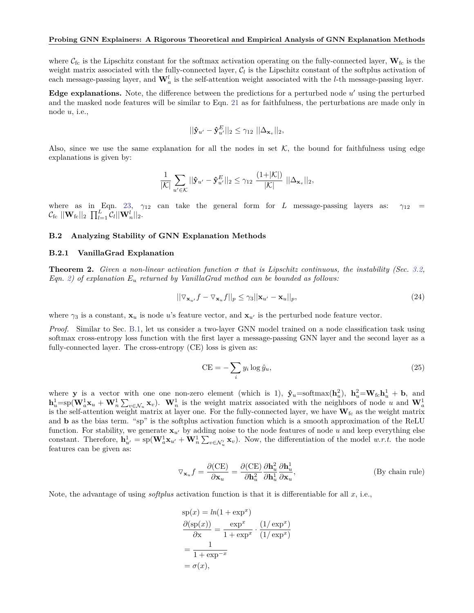where  $\mathcal{C}_{\text{fc}}$  is the Lipschitz constant for the softmax activation operating on the fully-connected layer,  $\mathbf{W}_{\text{fc}}$  is the weight matrix associated with the fully-connected layer,  $C_l$  is the Lipschitz constant of the softplus activation of each message-passing layer, and  $\mathbf{W}_a^l$  is the self-attention weight associated with the *l*-th message-passing layer.

Edge explanations. Note, the difference between the predictions for a perturbed node  $u'$  using the perturbed and the masked node features will be similar to Eqn. [21](#page-14-2) as for faithfulness, the perturbations are made only in node *u*, i.e.,

$$
||\mathbf{\hat{y}}_{u'} - \mathbf{\hat{y}}_{u'}^E||_2 \leq \gamma_{12} ||\Delta_{\mathbf{x}_v}||_2,
$$

Also, since we use the same explanation for all the nodes in set  $K$ , the bound for faithfulness using edge explanations is given by:

$$
\frac{1}{|\mathcal{K}|} \sum_{u' \in \mathcal{K}} ||\mathbf{\hat{y}}_{u'} - \mathbf{\hat{y}}_{u'}^E||_2 \leq \gamma_{12} \frac{(1+|\mathcal{K}|)}{|\mathcal{K}|} ||\Delta_{\mathbf{x}_v}||_2,
$$

where as in Eqn. [23,](#page-14-3)  $\gamma_{12}$  can take the general form for *L* message-passing layers as:  $\gamma_{12}$  $\mathcal{C}_{\text{fc}} \ ||\mathbf{W}_{\text{fc}}||_2 \ \prod_{l=1}^L \mathcal{C}_l ||\mathbf{W}_n^l||_2.$ 

#### **B.2 Analyzing Stability of GNN Explanation Methods**

#### <span id="page-15-0"></span>**B.2.1 VanillaGrad Explanation**

**Theorem 2.** *Given a non-linear activation function σ that is Lipschitz continuous, the instability (Sec. [3.2,](#page-3-2) Eqn. [2\)](#page-3-1) of explanation E<sup>u</sup> returned by VanillaGrad method can be bounded as follows:*

$$
||\nabla_{\mathbf{x}_{u'}}f - \nabla_{\mathbf{x}_{u}}f||_{p} \leq \gamma_{3}||\mathbf{x}_{u'} - \mathbf{x}_{u}||_{p},
$$
\n(24)

where  $\gamma_3$  is a constant,  $\mathbf{x}_u$  is node *u*'s feature vector, and  $\mathbf{x}_{u'}$  is the perturbed node feature vector.

*Proof.* Similar to Sec. [B.1,](#page-13-0) let us consider a two-layer GNN model trained on a node classification task using softmax cross-entropy loss function with the first layer a message-passing GNN layer and the second layer as a fully-connected layer. The cross-entropy  $(CE)$  loss is given as:

$$
CE = -\sum_{i} y_i \log \hat{y}_u,\tag{25}
$$

where **y** is a vector with one one non-zero element (which is 1),  $\hat{\mathbf{y}}_u = \text{softmax}(\mathbf{h}_u^2)$ ,  $\mathbf{h}_u^2 = \mathbf{W}_{\text{fc}} \mathbf{h}_u^1 + \mathbf{b}$ , and  $\mathbf{h}_u^1 = \mathrm{sp}(\mathbf{W}_a^1 \mathbf{x}_u + \mathbf{W}_n^1 \sum_{v \in \mathcal{N}_u} \mathbf{x}_v)$ .  $\mathbf{W}_n^1$  is the weight matrix associated with the neighbors of node u and  $\mathbf{W}_a^1$ is the self-attention weight matrix at layer one. For the fully-connected layer, we have  $\mathbf{W}_{\text{fc}}$  as the weight matrix and **b** as the bias term. "sp" is the softplus activation function which is a smooth approximation of the ReLU function. For stability, we generate  $\mathbf{x}_{u}$  by adding noise to the node features of node *u* and keep everything else constant. Therefore,  $\mathbf{h}_{u'}^1 = sp(\mathbf{W}_a^1 \mathbf{x}_{u'} + \mathbf{W}_n^1 \sum_{v \in \mathcal{N}_u'} \mathbf{x}_v)$ . Now, the differentiation of the model *w.r.t.* the node features can be given as:

$$
\nabla_{\mathbf{x}_u} f = \frac{\partial (\text{CE})}{\partial \mathbf{x}_u} = \frac{\partial (\text{CE})}{\partial \mathbf{h}_u^2} \frac{\partial \mathbf{h}_u^1}{\partial \mathbf{h}_u^1} \frac{\partial \mathbf{h}_u^1}{\partial \mathbf{x}_u},
$$
 (By chain rule)

Note, the advantage of using *softplus* activation function is that it is differentiable for all *x*, i.e.,

$$
sp(x) = ln(1 + exp^{x})
$$
  
\n
$$
\frac{\partial (sp(x))}{\partial x} = \frac{exp^{x}}{1 + exp^{x}} \cdot \frac{(1/exp^{x})}{(1/exp^{x})}
$$
  
\n
$$
= \frac{1}{1 + exp^{-x}}
$$
  
\n
$$
= \sigma(x),
$$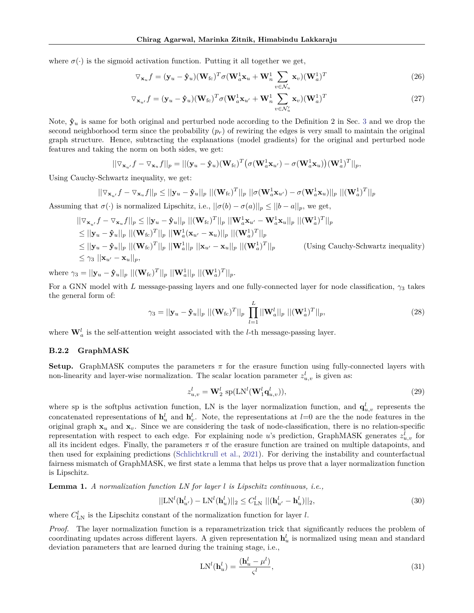where  $\sigma(\cdot)$  is the sigmoid activation function. Putting it all together we get,

$$
\nabla_{\mathbf{x}_u} f = (\mathbf{y}_u - \mathbf{\hat{y}}_u)(\mathbf{W}_{\text{fc}})^T \sigma (\mathbf{W}_a^1 \mathbf{x}_u + \mathbf{W}_n^1 \sum_{v \in \mathcal{N}_u} \mathbf{x}_v)(\mathbf{W}_a^1)^T
$$
(26)

$$
\nabla_{\mathbf{x}_{u'}} f = (\mathbf{y}_u - \mathbf{\hat{y}}_u) (\mathbf{W}_{\text{fc}})^T \sigma (\mathbf{W}_a^1 \mathbf{x}_{u'} + \mathbf{W}_n^1 \sum_{v \in \mathcal{N}_u'} \mathbf{x}_v) (\mathbf{W}_a^1)^T
$$
(27)

Note,  $\mathbf{\hat{y}}_u$  is same for both original and perturbed node according to the Definition 2 in Sec. [3](#page-2-0) and we drop the second neighborhood term since the probability  $(p_r)$  of rewiring the edges is very small to maintain the original graph structure. Hence, subtracting the explanations (model gradients) for the original and perturbed node features and taking the norm on both sides, we get:

$$
||\nabla_{\mathbf{x}_{u'}}f - \nabla_{\mathbf{x}_{u}}f||_p = ||(\mathbf{y}_{u} - \mathbf{\hat{y}}_u)(\mathbf{W}_{\rm fc})^T \big(\sigma(\mathbf{W}_a^1 \mathbf{x}_{u'}) - \sigma(\mathbf{W}_a^1 \mathbf{x}_{u})\big)(\mathbf{W}_a^1)^T||_p,
$$

Using Cauchy-Schwartz inequality, we get:

$$
||\nabla_{\mathbf{x}_{u'}}f - \nabla_{\mathbf{x}_{u}}f||_p \le ||\mathbf{y}_{u} - \mathbf{\hat{y}}_u||_p ||(\mathbf{W}_{\mathrm{fc}})^T||_p ||\sigma(\mathbf{W}_a^1 \mathbf{x}_{u'}) - \sigma(\mathbf{W}_a^1 \mathbf{x}_{u})||_p ||(\mathbf{W}_a^1)^T||_p
$$

Assuming that  $\sigma(\cdot)$  is normalized Lipschitz, i.e.,  $||\sigma(b) - \sigma(a)||_p \le ||b - a||_p$ , we get,

$$
\|\nabla_{\mathbf{x}_{u'}}f - \nabla_{\mathbf{x}_{u}}f\|_{p} \leq ||\mathbf{y}_{u} - \hat{\mathbf{y}}_{u}||_{p} ||(\mathbf{W}_{\mathrm{fc}})^{T}||_{p} ||\mathbf{W}_{a}^{\mathrm{1}}\mathbf{x}_{u'} - \mathbf{W}_{a}^{\mathrm{1}}\mathbf{x}_{u}||_{p} ||(\mathbf{W}_{a}^{\mathrm{1}})^{T}||_{p}
$$
  
\n
$$
\leq ||\mathbf{y}_{u} - \hat{\mathbf{y}}_{u}||_{p} ||(\mathbf{W}_{\mathrm{fc}})^{T}||_{p} ||\mathbf{W}_{a}^{\mathrm{1}}(\mathbf{x}_{u'} - \mathbf{x}_{u})||_{p} ||(\mathbf{W}_{a}^{\mathrm{1}})^{T}||_{p}
$$
  
\n
$$
\leq ||\mathbf{y}_{u} - \hat{\mathbf{y}}_{u}||_{p} ||(\mathbf{W}_{\mathrm{fc}})^{T}||_{p} ||\mathbf{W}_{a}^{\mathrm{1}}||_{p} ||\mathbf{x}_{u'} - \mathbf{x}_{u}||_{p} ||(\mathbf{W}_{a}^{\mathrm{1}})^{T}||_{p}
$$
 (Using Cauchy-Schwartz inequality)  
\n
$$
\leq \gamma_{3} ||\mathbf{x}_{u'} - \mathbf{x}_{u}||_{p},
$$

where  $\gamma_3 = ||\mathbf{y}_u - \mathbf{\hat{y}}_u||_p \ ||(\mathbf{W}_{\text{fc}})^T||_p \ ||\mathbf{W}_a^1||_p \ ||(\mathbf{W}_a^1)^T||_p.$ 

For a GNN model with *L* message-passing layers and one fully-connected layer for node classification, *γ*<sup>3</sup> takes the general form of:

$$
\gamma_3 = ||\mathbf{y}_u - \mathbf{\hat{y}}_u||_p ||(\mathbf{W}_{\text{fc}})^T||_p \prod_{l=1}^L ||\mathbf{W}_a^l||_p ||(\mathbf{W}_a^1)^T||_p, \tag{28}
$$

where  $\mathbf{W}_a^l$  is the self-attention weight associated with the *l*-th message-passing layer.

### <span id="page-16-0"></span>**B.2.2 GraphMASK**

**Setup.** GraphMASK computes the parameters  $\pi$  for the erasure function using fully-connected layers with non-linearity and layer-wise normalization. The scalar location parameter  $z_{u,v}^l$  is given as:

<span id="page-16-2"></span>
$$
z_{u,v}^l = \mathbf{W}_2^l \operatorname{sp}(\text{LN}^l(\mathbf{W}_1^l \mathbf{q}_{u,v}^l)),\tag{29}
$$

where sp is the softplus activation function, LN is the layer normalization function, and  $\mathbf{q}_{u,v}^l$  represents the concatenated representations of  $h_u^l$  and  $h_v^l$ . Note, the representations at  $l=0$  are the the node features in the original graph  $x_u$  and  $x_v$ . Since we are considering the task of node-classification, there is no relation-specific representation with respect to each edge. For explaining node *u*'s prediction, GraphMASK generates  $z_{u,v}^l$  for all its incident edges. Finally, the parameters *π* of the erasure function are trained on multiple datapoints, and then used for explaining predictions [\(Schlichtkrull et al.,](#page-10-2) [2021\)](#page-10-2). For deriving the instability and counterfactual fairness mismatch of GraphMASK, we first state a lemma that helps us prove that a layer normalization function is Lipschitz.

**Lemma 1.** *A normalization function LN for layer l is Lipschitz continuous, i.e.,*

$$
||LNl(\mathbf{h}_{u'}^{l}) - LNl(\mathbf{h}_{u}^{l})||_2 \le C_{LN}^{l} ||(\mathbf{h}_{u'}^{l} - \mathbf{h}_{u}^{l})||_2,
$$
\n(30)

where  $C_{LN}^l$  is the Lipschitz constant of the normalization function for layer *l*.

*Proof.* The layer normalization function is a reparametrization trick that significantly reduces the problem of coordinating updates across different layers. A given representation  $\mathbf{h}_u^l$  is normalized using mean and standard deviation parameters that are learned during the training stage, i.e.,

<span id="page-16-1"></span>
$$
LNl(\mathbf{h}_u^l) = \frac{(\mathbf{h}_u^l - \mu^l)}{\varsigma^l},
$$
\n(31)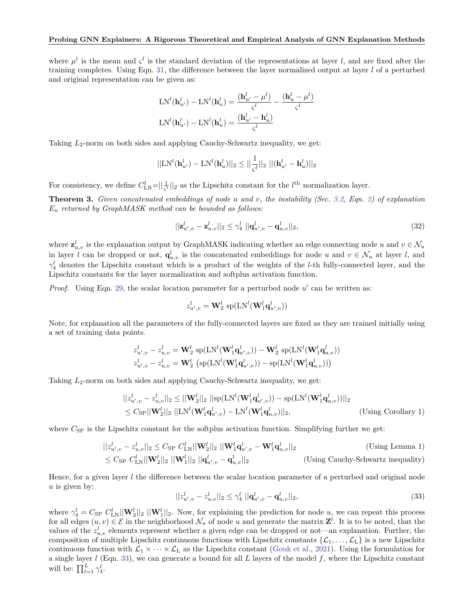#### **Probing GNN Explainers: A Rigorous Theoretical and Empirical Analysis of GNN Explanation Methods**

where  $\mu^l$  is the mean and  $\zeta^l$  is the standard deviation of the representations at layer *l*, and are fixed after the training completes. Using Eqn. [31,](#page-16-1) the difference between the layer normalized output at layer *l* of a perturbed and original representation can be given as:

$$
\begin{aligned} \text{LN}^l(\mathbf{h}^l_{u'}) - \text{LN}^l(\mathbf{h}^l_u) &= \frac{(\mathbf{h}^l_{u'} - \mu^l)}{\varsigma^l} - \frac{(\mathbf{h}^l_u - \mu^l)}{\varsigma^l} \\ \text{LN}^l(\mathbf{h}^l_{u'}) - \text{LN}^l(\mathbf{h}^l_u) &= \frac{(\mathbf{h}^l_{u'} - \mathbf{h}^l_u)}{\varsigma^l} \end{aligned}
$$

Taking  $L_2$ -norm on both sides and applying Cauchy-Schwartz inequality, we get:

$$
||LNl(\mathbf{h}_{u'}^{l}) - LNl(\mathbf{h}_{u}^{l})||_2 \leq ||\frac{1}{\varsigma^{l}}||_2 ||(\mathbf{h}_{u'}^{l} - \mathbf{h}_{u}^{l})||_2
$$

For consistency, we define  $C_{LN}^l = ||\frac{1}{\varsigma^l}||_2$  as the Lipschitz constant for the  $l^{\text{th}}$  normalization layer.

**Theorem 3.** *Given concatenated embeddings of node u and v, the instability (Sec. [3.2,](#page-3-2) Eqn. [2\)](#page-3-1) of explanation E<sup>u</sup> returned by GraphMASK method can be bounded as follows:*

$$
||\mathbf{z}_{u',v}^l - \mathbf{z}_{u,v}^l||_2 \le \gamma_4^l ||\mathbf{q}_{u',v}^l - \mathbf{q}_{u,v}^l||_2,
$$
\n(32)

where  $\mathbf{z}_{u,v}^l$  is the explanation output by GraphMASK indicating whether an edge connecting node *u* and  $v \in \mathcal{N}_u$ in layer *l* can be dropped or not,  $\mathbf{q}_{u,v}^l$  is the concatenated embeddings for node *u* and  $v \in \mathcal{N}_u$  at layer *l*, and *γ l* <sup>4</sup> denotes the Lipschitz constant which is a product of the weights of the *l*-th fully-connected layer, and the Lipschitz constants for the layer normalization and softplus activation function.

*Proof.* Using Eqn. [29,](#page-16-2) the scalar location parameter for a perturbed node u' can be written as:

$$
z_{u',v}^l = \mathbf{W}_2^l \, \operatorname{sp}(\operatorname{LN}^l(\mathbf{W}_1^l \mathbf{q}_{u',v}^l))
$$

Note, for explanation all the parameters of the fully-connected layers are fixed as they are trained initially using a set of training data points.

$$
\begin{aligned} & z_{u',v}^l - z_{u,v}^l = \mathbf{W}_2^l \, \operatorname{sp}(\operatorname{LN}^l(\mathbf{W}_1^l \mathbf{q}_{u',v}^l)) - \mathbf{W}_2^l \, \operatorname{sp}(\operatorname{LN}^l(\mathbf{W}_1^l \mathbf{q}_{u,v}^l)) \\ & z_{u',v}^l - z_{u,v}^l = \mathbf{W}_2^l \, \left( \operatorname{sp}(\operatorname{LN}^l(\mathbf{W}_1^l \mathbf{q}_{u',v}^l)) - \operatorname{sp}(\operatorname{LN}^l(\mathbf{W}_1^l \mathbf{q}_{u,v}^l)) \right) \end{aligned}
$$

Taking *L*2-norm on both sides and applying Cauchy-Schwartz inequality, we get:

$$
||z_{u',v}^l - z_{u,v}^l||_2 \le ||\mathbf{W}_2^l||_2 ||\text{sp}(\mathbf{LN}^l(\mathbf{W}_1^l \mathbf{q}_{u',v}^l)) - \text{sp}(\mathbf{LN}^l(\mathbf{W}_1^l \mathbf{q}_{u,v}^l))||_2
$$
  
\n
$$
\le C_{\text{SP}} ||\mathbf{W}_2^l||_2 ||\mathbf{LN}^l(\mathbf{W}_1^l \mathbf{q}_{u',v}^l) - \mathbf{LN}^l(\mathbf{W}_1^l \mathbf{q}_{u,v}^l)||_2,
$$
 (Using Corollary 1)

where  $C_{SP}$  is the Lipschitz constant for the softplus activation function. Simplifying further we get:

$$
||z_{u',v}^{l} - z_{u,v}^{l}||_2 \leq C_{\rm SP} C_{\rm LN}^{l} ||\mathbf{W}_2^{l}||_2 ||\mathbf{W}_1^{l} \mathbf{q}_{u',v}^{l} - \mathbf{W}_1^{l} \mathbf{q}_{u,v}^{l}||_2
$$
 (Using Lemma 1)  
\n
$$
\leq C_{\rm SP} C_{\rm LN}^{l} ||\mathbf{W}_2^{l}||_2 ||\mathbf{W}_1^{l}||_2 ||\mathbf{q}_{u',v}^{l} - \mathbf{q}_{u,v}^{l}||_2
$$
 (Using Cauchy-Schwartz inequality)

Hence, for a given layer *l* the difference between the scalar location parameter of a perturbed and original node *u* is given by:

<span id="page-17-0"></span>
$$
||z_{u',v}^l - z_{u,v}^l||_2 \le \gamma_4^l ||\mathbf{q}_{u',v}^l - \mathbf{q}_{u,v}^l||_2,
$$
\n(33)

where  $\gamma_4^l = C_{\rm SP} C_{\rm LN}^l ||\mathbf{W}_2^l||_2 ||\mathbf{W}_1^l||_2$ . Now, for explaining the prediction for node  $u$ , we can repeat this process for all edges  $(u, v) \in \mathcal{E}$  in the neighborhood  $\mathcal{N}_u$  of node *u* and generate the matrix  $\mathbf{Z}^l$ . It is to be noted, that the values of the  $z_{u,v}^l$  elements represent whether a given edge can be dropped or not—an explanation. Further, the composition of multiple Lipschitz continuous functions with Lipschitz constants  $\{\mathcal{L}_1,\ldots,\mathcal{L}_L\}$  is a new Lipschitz continuous function with  $\mathcal{L}_1 \times \cdots \times \mathcal{L}_L$  as the Lipschitz constant [\(Gouk et al.,](#page-9-19) [2021\)](#page-9-19). Using the formulation for a single layer *l* (Eqn. [33\)](#page-17-0), we can generate a bound for all *L* layers of the model *f*, where the Lipschitz constant will be:  $\prod_{l=1}^{L} \gamma_4^l$ .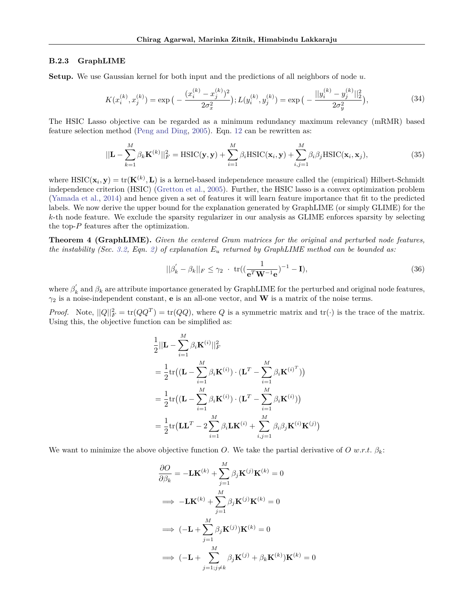#### <span id="page-18-0"></span>**B.2.3 GraphLIME**

**Setup.** We use Gaussian kernel for both input and the predictions of all neighbors of node *u*.

$$
K(x_i^{(k)}, x_j^{(k)}) = \exp\big(-\frac{(x_i^{(k)} - x_j^{(k)})^2}{2\sigma_x^2}\big); L(y_i^{(k)}, y_j^{(k)}) = \exp\big(-\frac{||y_i^{(k)} - y_j^{(k)}||_2^2}{2\sigma_y^2}\big),\tag{34}
$$

The HSIC Lasso objective can be regarded as a minimum redundancy maximum relevancy (mRMR) based feature selection method [\(Peng and Ding,](#page-9-20) [2005\)](#page-9-20). Eqn. [12](#page-11-1) can be rewritten as:

$$
||\mathbf{L} - \sum_{k=1}^{M} \beta_k \mathbf{K}^{(k)}||_F^2 = \text{HSIC}(\mathbf{y}, \mathbf{y}) + \sum_{i=1}^{M} \beta_i \text{HSIC}(\mathbf{x}_i, \mathbf{y}) + \sum_{i,j=1}^{M} \beta_i \beta_j \text{HSIC}(\mathbf{x}_i, \mathbf{x}_j),
$$
(35)

where  $\text{HSIC}(\mathbf{x}_i, \mathbf{y}) = \text{tr}(\mathbf{K}^{(k)}, \mathbf{L})$  is a kernel-based independence measure called the (empirical) Hilbert-Schmidt independence criterion (HSIC) [\(Gretton et al.,](#page-9-21) [2005\)](#page-9-21). Further, the HSIC lasso is a convex optimization problem [\(Yamada et al.,](#page-10-12) [2014\)](#page-10-12) and hence given a set of features it will learn feature importance that fit to the predicted labels. We now derive the upper bound for the explanation generated by GraphLIME (or simply GLIME) for the *k*-th node feature. We exclude the sparsity regularizer in our analysis as GLIME enforces sparsity by selecting the top-*P* features after the optimization.

**Theorem 4 (GraphLIME).** *Given the centered Gram matrices for the original and perturbed node features, the instability (Sec. [3.2,](#page-3-2) Eqn. [2\)](#page-3-1) of explanation E<sup>u</sup> returned by GraphLIME method can be bounded as:*

$$
||\beta'_{k} - \beta_{k}||_{F} \leq \gamma_{2} \cdot \text{tr}((\frac{1}{\mathbf{e}^{T}\mathbf{W}^{-1}\mathbf{e}})^{-1} - \mathbf{I}),
$$
\n(36)

where  $\beta'_k$  and  $\beta_k$  are attribute importance generated by GraphLIME for the perturbed and original node features,  $\gamma_2$  is a noise-independent constant, **e** is an all-one vector, and **W** is a matrix of the noise terms.

*Proof.* Note,  $||Q||_F^2 = \text{tr}(QQ^T) = \text{tr}(QQ)$ , where *Q* is a symmetric matrix and  $\text{tr}(\cdot)$  is the trace of the matrix. Using this, the objective function can be simplified as:

$$
\frac{1}{2}||\mathbf{L} - \sum_{i=1}^{M} \beta_i \mathbf{K}^{(i)}||_F^2
$$
\n  
\n
$$
= \frac{1}{2} \text{tr} \left( (\mathbf{L} - \sum_{i=1}^{M} \beta_i \mathbf{K}^{(i)} ) \cdot (\mathbf{L}^T - \sum_{i=1}^{M} \beta_i \mathbf{K}^{(i)^T}) \right)
$$
\n  
\n
$$
= \frac{1}{2} \text{tr} \left( (\mathbf{L} - \sum_{i=1}^{M} \beta_i \mathbf{K}^{(i)} ) \cdot (\mathbf{L}^T - \sum_{i=1}^{M} \beta_i \mathbf{K}^{(i)} ) \right)
$$
\n  
\n
$$
= \frac{1}{2} \text{tr} \left( \mathbf{L} \mathbf{L}^T - 2 \sum_{i=1}^{M} \beta_i \mathbf{L} \mathbf{K}^{(i)} + \sum_{i,j=1}^{M} \beta_i \beta_j \mathbf{K}^{(i)} \mathbf{K}^{(j)} \right)
$$

We want to minimize the above objective function *O*. We take the partial derivative of *O* w.r.t.  $\beta_k$ :

$$
\frac{\partial O}{\partial \beta_k} = -\mathbf{LK}^{(k)} + \sum_{j=1}^{M} \beta_j \mathbf{K}^{(j)} \mathbf{K}^{(k)} = 0
$$
  
\n
$$
\implies -\mathbf{LK}^{(k)} + \sum_{j=1}^{M} \beta_j \mathbf{K}^{(j)} \mathbf{K}^{(k)} = 0
$$
  
\n
$$
\implies (-\mathbf{L} + \sum_{j=1}^{M} \beta_j \mathbf{K}^{(j)}) \mathbf{K}^{(k)} = 0
$$
  
\n
$$
\implies (-\mathbf{L} + \sum_{j=1, j \neq k}^{M} \beta_j \mathbf{K}^{(j)} + \beta_k \mathbf{K}^{(k)}) \mathbf{K}^{(k)} = 0
$$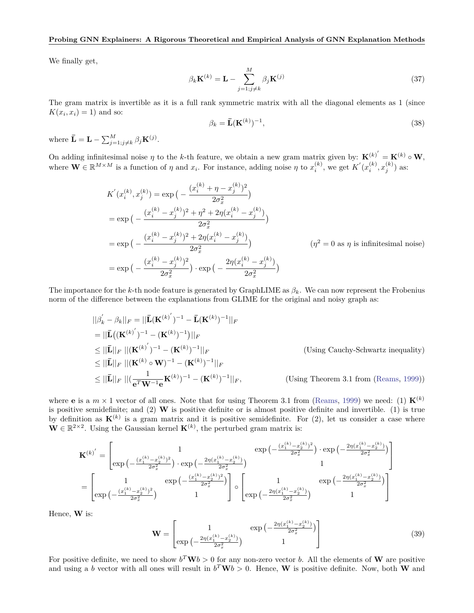#### **Probing GNN Explainers: A Rigorous Theoretical and Empirical Analysis of GNN Explanation Methods**

We finally get,

$$
\beta_k \mathbf{K}^{(k)} = \mathbf{L} - \sum_{j=1; j \neq k}^{M} \beta_j \mathbf{K}^{(j)} \tag{37}
$$

The gram matrix is invertible as it is a full rank symmetric matrix with all the diagonal elements as 1 (since  $K(x_i, x_i) = 1$  and so:

$$
\beta_k = \bar{\mathbf{L}}(\mathbf{K}^{(k)})^{-1},\tag{38}
$$

where  $\bar{\mathbf{L}} = \mathbf{L} - \sum_{j=1;j\neq k}^{M} \beta_j \mathbf{K}^{(j)}$ .

On adding infinitesimal noise  $\eta$  to the *k*-th feature, we obtain a new gram matrix given by:  $\mathbf{K}^{(k)} = \mathbf{K}^{(k)} \circ \mathbf{W}$ , where  $\mathbf{W} \in \mathbb{R}^{M \times M}$  is a function of  $\eta$  and  $x_i$ . For instance, adding noise  $\eta$  to  $x_i^{(k)}$ , we get  $K'(x_i^{(k)}, x_j^{(k)})$  as:

$$
K'(x_i^{(k)}, x_j^{(k)}) = \exp\left(-\frac{(x_i^{(k)} + \eta - x_j^{(k)})^2}{2\sigma_x^2}\right)
$$
  
\n
$$
= \exp\left(-\frac{(x_i^{(k)} - x_j^{(k)})^2 + \eta^2 + 2\eta(x_i^{(k)} - x_j^{(k)})}{2\sigma_x^2}\right)
$$
  
\n
$$
= \exp\left(-\frac{(x_i^{(k)} - x_j^{(k)})^2 + 2\eta(x_i^{(k)} - x_j^{(k)})}{2\sigma_x^2}\right)
$$
  
\n
$$
= \exp\left(-\frac{(x_i^{(k)} - x_j^{(k)})^2}{2\sigma_x^2}\right) \cdot \exp\left(-\frac{2\eta(x_i^{(k)} - x_j^{(k)})}{2\sigma_x^2}\right)
$$
  
\n
$$
( \eta^2 = 0 \text{ as } \eta \text{ is infinitesimal noise})
$$

The importance for the *k*-th node feature is generated by GraphLIME as *βk*. We can now represent the Frobenius norm of the difference between the explanations from GLIME for the original and noisy graph as:

$$
||\beta'_{k} - \beta_{k}||_{F} = ||\overline{\mathbf{L}}(\mathbf{K}^{(k)})^{-1} - \overline{\mathbf{L}}(\mathbf{K}^{(k)})^{-1}||_{F}
$$
  
\n
$$
= ||\overline{\mathbf{L}}((\mathbf{K}^{(k)})^{-1} - (\mathbf{K}^{(k)})^{-1})||_{F}
$$
  
\n
$$
\leq ||\overline{\mathbf{L}}||_{F} ||(\mathbf{K}^{(k)})^{-1} - (\mathbf{K}^{(k)})^{-1}||_{F}
$$
  
\n
$$
\leq ||\overline{\mathbf{L}}||_{F} ||(\mathbf{K}^{(k)} \circ \mathbf{W})^{-1} - (\mathbf{K}^{(k)})^{-1}||_{F}
$$
  
\n
$$
\leq ||\overline{\mathbf{L}}||_{F} ||(\mathbf{K}^{(k)} \circ \mathbf{W})^{-1} - (\mathbf{K}^{(k)})^{-1}||_{F}
$$
  
\n
$$
\leq ||\overline{\mathbf{L}}||_{F} ||(\frac{1}{e^{T}\mathbf{W}^{-1}e}\mathbf{K}^{(k)})^{-1} - (\mathbf{K}^{(k)})^{-1}||_{F},
$$
 (Using Theorem 3.1 from (Reams, 1999))

where **e** is a  $m \times 1$  vector of all ones. Note that for using Theorem 3.1 from [\(Reams,](#page-10-13) [1999\)](#page-10-13) we need: (1)  $\mathbf{K}^{(k)}$ is positive semidefinite; and  $(2)$  **W** is positive definite or is almost positive definite and invertible. (1) is true by definition as  $\mathbf{K}^{(k)}$  is a gram matrix and it is positive semidefinite. For  $(2)$ , let us consider a case where  $\mathbf{W} \in \mathbb{R}^{2 \times 2}$ . Using the Gaussian kernel  $\mathbf{K}^{(k)}$ , the perturbed gram matrix is:

$$
\begin{split} \mathbf{K}^{(k)}^{'}&=\begin{bmatrix}1&\exp\big(-\frac{(x_1^{(k)}-x_2^{(k)})^2}{2\sigma_x^2}\big)\cdot\exp\big(-\frac{(x_1^{(k)}-x_2^{(k)})^2}{2\sigma_x^2}\big)\end{bmatrix}\cdot\exp\big(-\frac{2\eta(x_1^{(k)}-x_2^{(k)})}{2\sigma_x^2}\big)\\ &=\begin{bmatrix}1&\exp\big(-\frac{(x_1^{(k)}-x_2^{(k)})^2}{2\sigma_x^2}\big)\end{bmatrix}\\\exp\big(-\frac{(x_1^{(k)}-x_2^{(k)})^2}{2\sigma_x^2}\big) &1\end{bmatrix}\circ\begin{bmatrix}1&\exp\big(-\frac{2\eta(x_1^{(k)}-x_2^{(k)})}{2\sigma_x^2}\big)\\ \exp\big(-\frac{2\eta(x_1^{(k)}-x_2^{(k)})}{2\sigma_x^2}\big) &1\end{bmatrix}\end{split}
$$

Hence, **W** is:

$$
\mathbf{W} = \begin{bmatrix} 1 & \exp\left(-\frac{2\eta(x_1^{(k)} - x_2^{(k)})}{2\sigma_x^2}\right) \\ \exp\left(-\frac{2\eta(x_1^{(k)} - x_2^{(k)})}{2\sigma_x^2}\right) & 1 \end{bmatrix}
$$
(39)

For positive definite, we need to show  $b^T \mathbf{W} b > 0$  for any non-zero vector *b*. All the elements of **W** are positive and using a *b* vector with all ones will result in  $b^T \mathbf{W} b > 0$ . Hence, **W** is positive definite. Now, both **W** and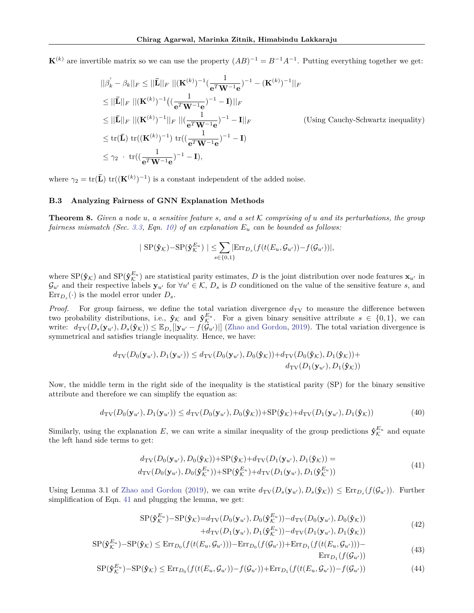$\mathbf{K}^{(k)}$  are invertible matrix so we can use the property  $(AB)^{-1} = B^{-1}A^{-1}$ . Putting everything together we get:

$$
||\beta'_{k} - \beta_{k}||_{F} \le ||\bar{\mathbf{L}}||_{F} ||(\mathbf{K}^{(k)})^{-1}(\frac{1}{e^{T}\mathbf{W}^{-1}\mathbf{e}})^{-1} - (\mathbf{K}^{(k)})^{-1}||_{F}
$$
  
\n
$$
\le ||\bar{\mathbf{L}}||_{F} ||(\mathbf{K}^{(k)})^{-1}((\frac{1}{e^{T}\mathbf{W}^{-1}\mathbf{e}})^{-1} - \mathbf{I})||_{F}
$$
  
\n
$$
\le ||\bar{\mathbf{L}}||_{F} ||(\mathbf{K}^{(k)})^{-1}||_{F} ||(\frac{1}{e^{T}\mathbf{W}^{-1}\mathbf{e}})^{-1} - \mathbf{I}||_{F}
$$
 (Using Cauchy-Schwartz inequality)  
\n
$$
\le tr(\bar{\mathbf{L}}) tr((\mathbf{K}^{(k)})^{-1}) tr((\frac{1}{e^{T}\mathbf{W}^{-1}\mathbf{e}})^{-1} - \mathbf{I})
$$
  
\n
$$
\le \gamma_{2} \cdot tr((\frac{1}{e^{T}\mathbf{W}^{-1}\mathbf{e}})^{-1} - \mathbf{I}),
$$

where  $\gamma_2 = \text{tr}(\mathbf{L}) \text{ tr}((\mathbf{K}^{(k)})^{-1})$  is a constant independent of the added noise.

## <span id="page-20-0"></span>**B.3 Analyzing Fairness of GNN Explanation Methods**

**Theorem 8.** *Given a node u, a sensitive feature s, and a set* K *comprising of u and its perturbations, the group fairness mismatch (Sec. [3.3,](#page-4-1) Eqn. [10\)](#page-5-2) of an explanation E<sup>u</sup> can be bounded as follows:*

$$
|\text{SP}(\hat{\mathbf{y}}_{\mathcal{K}}) - \text{SP}(\hat{\mathbf{y}}_{\mathcal{K}}^{E_u})| \leq \sum_{s \in \{0,1\}} |\text{Err}_{D_s}(f(t(E_u, \mathcal{G}_{u'})) - f(\mathcal{G}_{u'}))|,
$$

where  $SP(\hat{\mathbf{y}}_k)$  and  $SP(\hat{\mathbf{y}}_k^{E_u})$  are statistical parity estimates, *D* is the joint distribution over node features  $\mathbf{x}_{u'}$  in  $\mathcal{G}_{u'}$  and their respective labels  $\mathbf{y}_{u'}$  for  $\forall u' \in \mathcal{K}, D_s$  is D conditioned on the value of the sensitive feature *s*, and  $\text{Err}_{D_s}(\cdot)$  is the model error under  $D_s$ .

*Proof.* For group fairness, we define the total variation divergence  $d_{TV}$  to measure the difference between two probability distributions, i.e.,  $\hat{\mathbf{y}}_k$  and  $\hat{\mathbf{y}}_k^{E_u}$ . For a given binary sensitive attribute  $s \in \{0,1\}$ , we can write:  $d_{TV}(D_s(\mathbf{y}_{u'}), D_s(\mathbf{\hat{y}}_{\mathcal{K}})) \leq \mathbb{E}_{D_s}[[\mathbf{y}_{u'} - f(\mathbf{\hat{G}}_{u'})]]$  [\(Zhao and Gordon,](#page-10-14) [2019\)](#page-10-14). The total variation divergence is symmetrical and satisfies triangle inequality. Hence, we have:

$$
d_{\text{TV}}(D_0(\mathbf{y}_{u'}), D_1(\mathbf{y}_{u'})) \leq d_{\text{TV}}(D_0(\mathbf{y}_{u'}), D_0(\mathbf{\hat{y}}_{\mathcal{K}})) + d_{\text{TV}}(D_0(\mathbf{\hat{y}}_{\mathcal{K}}), D_1(\mathbf{\hat{y}}_{\mathcal{K}})) + \nd_{\text{TV}}(D_1(\mathbf{y}_{u'}), D_1(\mathbf{\hat{y}}_{\mathcal{K}}))
$$

Now, the middle term in the right side of the inequality is the statistical parity (SP) for the binary sensitive attribute and therefore we can simplify the equation as:

$$
d_{\mathrm{TV}}(D_0(\mathbf{y}_{u'}), D_1(\mathbf{y}_{u'})) \le d_{\mathrm{TV}}(D_0(\mathbf{y}_{u'}), D_0(\mathbf{\hat{y}}_{\mathcal{K}})) + \mathrm{SP}(\mathbf{\hat{y}}_{\mathcal{K}}) + d_{\mathrm{TV}}(D_1(\mathbf{y}_{u'}), D_1(\mathbf{\hat{y}}_{\mathcal{K}}))
$$
(40)

Similarly, using the explanation E, we can write a similar inequality of the group predictions  $\hat{\mathbf{y}}_k^{E_u}$  and equate the left hand side terms to get:

$$
d_{\text{TV}}(D_0(\mathbf{y}_{u'}), D_0(\mathbf{\hat{y}}_k)) + \text{SP}(\mathbf{\hat{y}}_k) + d_{\text{TV}}(D_1(\mathbf{y}_{u'}), D_1(\mathbf{\hat{y}}_k)) = d_{\text{TV}}(D_0(\mathbf{y}_{u'}), D_0(\mathbf{\hat{y}}_k^{E_u})) + \text{SP}(\mathbf{\hat{y}}_k^{E_u}) + d_{\text{TV}}(D_1(\mathbf{y}_{u'}), D_1(\mathbf{\hat{y}}_k^{E_u}))
$$
\n(41)

<span id="page-20-1"></span>Using Lemma 3.1 of [Zhao and Gordon](#page-10-14) [\(2019\)](#page-10-14), we can write  $d_{\text{TV}}(D_s(\mathbf{y}_{u}), D_s(\mathbf{\hat{y}}_{\mathcal{K}})) \leq \text{Err}_{D_s}(f(\mathcal{G}_{u'}))$ . Further simplification of Eqn. [41](#page-20-1) and plugging the lemma, we get:

$$
SP(\hat{\mathbf{y}}_{\mathcal{K}}^{E_u}) - SP(\hat{\mathbf{y}}_{\mathcal{K}}) = d_{\text{TV}}(D_0(\mathbf{y}_{u'}), D_0(\hat{\mathbf{y}}_{\mathcal{K}}^{E_u})) - d_{\text{TV}}(D_0(\mathbf{y}_{u'}), D_0(\hat{\mathbf{y}}_{\mathcal{K}})) + d_{\text{TV}}(D_1(\mathbf{y}_{u'}), D_1(\hat{\mathbf{y}}_{\mathcal{K}}^{E_u})) - d_{\text{TV}}(D_1(\mathbf{y}_{u'}), D_1(\hat{\mathbf{y}}_{\mathcal{K}}))
$$
\n
$$
(42)
$$

$$
SP(\hat{\mathbf{y}}_{\mathcal{K}}^{E_u}) - SP(\hat{\mathbf{y}}_{\mathcal{K}}) \leq \text{Err}_{D_0}(f(t(E_u, \mathcal{G}_{u'}))) - \text{Err}_{D_0}(f(\mathcal{G}_{u'})) + \text{Err}_{D_1}(f(t(E_u, \mathcal{G}_{u'}))) -
$$
\n
$$
\tag{43}
$$

$$
\text{Err}_{D_1}(f(\mathcal{G}_{u'}))
$$
\n
$$
\text{S}\text{P}(\hat{\mathbf{y}}_{K}^{E_u}) - \text{S}\text{P}(\hat{\mathbf{y}}_{K}) \leq \text{Err}_{D_0}(f(t(E_u, \mathcal{G}_{u'})) - f(\mathcal{G}_{u'})) + \text{Err}_{D_1}(f(t(E_u, \mathcal{G}_{u'})) - f(\mathcal{G}_{u'}))
$$
\n
$$
\tag{44}
$$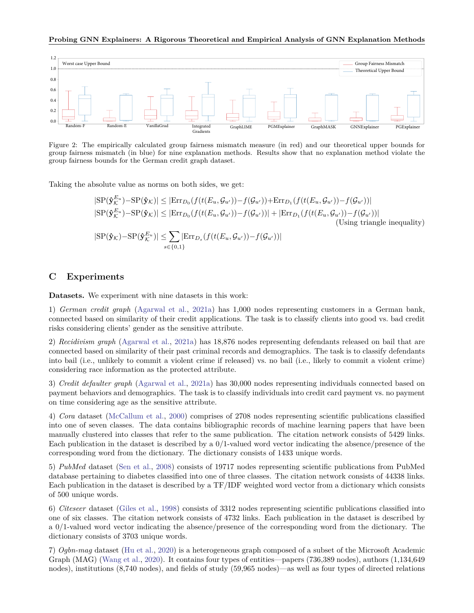#### **Probing GNN Explainers: A Rigorous Theoretical and Empirical Analysis of GNN Explanation Methods**

<span id="page-21-1"></span>

Figure 2: The empirically calculated group fairness mismatch measure (in red) and our theoretical upper bounds for group fairness mismatch (in blue) for nine explanation methods. Results show that no explanation method violate the group fairness bounds for the German credit graph dataset.

Taking the absolute value as norms on both sides, we get:

$$
|\text{SP}(\hat{\mathbf{y}}_{\mathcal{K}}^{E_u}) - \text{SP}(\hat{\mathbf{y}}_{\mathcal{K}})| \leq |\text{Err}_{D_0}(f(t(E_u, \mathcal{G}_{u'})) - f(\mathcal{G}_{u'}))| + \text{Err}_{D_1}(f(t(E_u, \mathcal{G}_{u'})) - f(\mathcal{G}_{u'}))|
$$
  
\n
$$
|\text{SP}(\hat{\mathbf{y}}_{\mathcal{K}}^{E_u}) - \text{SP}(\hat{\mathbf{y}}_{\mathcal{K}})| \leq |\text{Err}_{D_0}(f(t(E_u, \mathcal{G}_{u'})) - f(\mathcal{G}_{u'}))| + |\text{Err}_{D_1}(f(t(E_u, \mathcal{G}_{u'})) - f(\mathcal{G}_{u'}))|
$$
  
\n
$$
|\text{SP}(\hat{\mathbf{y}}_{\mathcal{K}}) - \text{SP}(\hat{\mathbf{y}}_{\mathcal{K}}^{E_u})| \leq \sum_{s \in \{0, 1\}} |\text{Err}_{D_s}(f(t(E_u, \mathcal{G}_{u'})) - f(\mathcal{G}_{u'}))|
$$
  
\n
$$
|\text{S}(\hat{\mathbf{y}}_{\mathcal{K}}) - \text{SP}(\hat{\mathbf{y}}_{\mathcal{K}}^{E_u})| \leq \sum_{s \in \{0, 1\}} |\text{Err}_{D_s}(f(t(E_u, \mathcal{G}_{u'})) - f(\mathcal{G}_{u'}))|
$$

## <span id="page-21-0"></span>**C Experiments**

**Datasets.** We experiment with nine datasets in this work:

1) *German credit graph* [\(Agarwal et al.,](#page-8-7) [2021a\)](#page-8-7) has 1,000 nodes representing customers in a German bank, connected based on similarity of their credit applications. The task is to classify clients into good vs. bad credit risks considering clients' gender as the sensitive attribute.

2) *Recidivism graph* [\(Agarwal et al.,](#page-8-7) [2021a\)](#page-8-7) has 18,876 nodes representing defendants released on bail that are connected based on similarity of their past criminal records and demographics. The task is to classify defendants into bail (i.e., unlikely to commit a violent crime if released) vs. no bail (i.e., likely to commit a violent crime) considering race information as the protected attribute.

3) *Credit defaulter graph* [\(Agarwal et al.,](#page-8-7) [2021a\)](#page-8-7) has 30,000 nodes representing individuals connected based on payment behaviors and demographics. The task is to classify individuals into credit card payment vs. no payment on time considering age as the sensitive attribute.

4) *Cora* dataset [\(McCallum et al.,](#page-9-22) [2000\)](#page-9-22) comprises of 2708 nodes representing scientific publications classified into one of seven classes. The data contains bibliographic records of machine learning papers that have been manually clustered into classes that refer to the same publication. The citation network consists of 5429 links. Each publication in the dataset is described by a 0/1-valued word vector indicating the absence/presence of the corresponding word from the dictionary. The dictionary consists of 1433 unique words.

5) *PubMed* dataset [\(Sen et al.,](#page-10-15) [2008\)](#page-10-15) consists of 19717 nodes representing scientific publications from PubMed database pertaining to diabetes classified into one of three classes. The citation network consists of 44338 links. Each publication in the dataset is described by a TF/IDF weighted word vector from a dictionary which consists of 500 unique words.

6) *Citeseer* dataset [\(Giles et al.,](#page-9-23) [1998\)](#page-9-23) consists of 3312 nodes representing scientific publications classified into one of six classes. The citation network consists of 4732 links. Each publication in the dataset is described by a 0/1-valued word vector indicating the absence/presence of the corresponding word from the dictionary. The dictionary consists of 3703 unique words.

7) *Ogbn-mag* dataset [\(Hu et al.,](#page-9-24) [2020\)](#page-9-24) is a heterogeneous graph composed of a subset of the Microsoft Academic Graph (MAG) [\(Wang et al.,](#page-10-16) [2020\)](#page-10-16). It contains four types of entities—papers (736,389 nodes), authors (1,134,649 nodes), institutions (8,740 nodes), and fields of study (59,965 nodes)—as well as four types of directed relations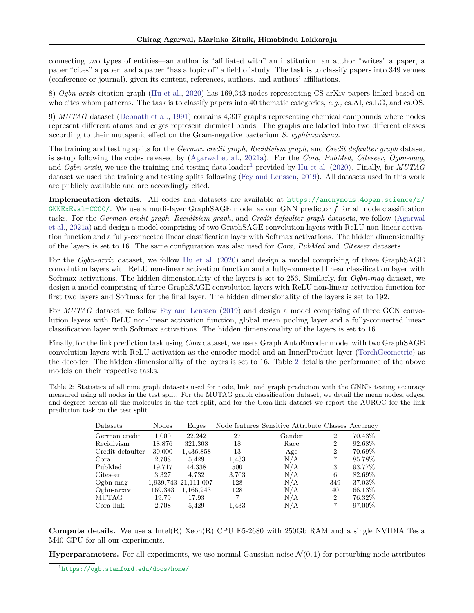connecting two types of entities—an author is "affiliated with" an institution, an author "writes" a paper, a paper "cites" a paper, and a paper "has a topic of" a field of study. The task is to classify papers into 349 venues (conference or journal), given its content, references, authors, and authors' affiliations.

8) *Ogbn-arxiv* citation graph [\(Hu et al.,](#page-9-24) [2020\)](#page-9-24) has 169,343 nodes representing CS arXiv papers linked based on who cites whom patterns. The task is to classify papers into 40 thematic categories, *e.g.,* cs.AI, cs.LG, and cs.OS.

9) *MUTAG* dataset [\(Debnath et al.,](#page-8-8) [1991\)](#page-8-8) contains 4,337 graphs representing chemical compounds where nodes represent different atoms and edges represent chemical bonds. The graphs are labeled into two different classes according to their mutagenic effect on the Gram-negative bacterium *S. typhimuriuma*.

The training and testing splits for the *German credit graph*, *Recidivism graph*, and *Credit defaulter graph* dataset is setup following the codes released by [\(Agarwal et al.,](#page-8-7) [2021a\)](#page-8-7). For the *Cora*, *PubMed*, *Citeseer*, *Ogbn-mag*, and *Ogbn-arxiv*, we use the training and testing data loader<sup>[1](#page-22-0)</sup> provided by [Hu et al.](#page-9-24) [\(2020\)](#page-9-24). Finally, for *MUTAG* dataset we used the training and testing splits following [\(Fey and Lenssen,](#page-9-25) [2019\)](#page-9-25). All datasets used in this work are publicly available and are accordingly cited.

**Implementation details.** All codes and datasets are available at [https://anonymous.4open.science/r/](https://anonymous.4open.science/r/GNNExEval-CC00/) [GNNExEval-CC00/](https://anonymous.4open.science/r/GNNExEval-CC00/). We use a mutli-layer GraphSAGE model as our GNN predictor *f* for all node classification tasks. For the *German credit graph*, *Recidivism graph*, and *Credit defaulter graph* datasets, we follow [\(Agarwal](#page-8-7) [et al.,](#page-8-7) [2021a\)](#page-8-7) and design a model comprising of two GraphSAGE convolution layers with ReLU non-linear activation function and a fully-connected linear classification layer with Softmax activations. The hidden dimensionality of the layers is set to 16. The same configuration was also used for *Cora*, *PubMed* and *Citeseer* datasets.

For the *Ogbn-arxiv* dataset, we follow [Hu et al.](#page-9-24) [\(2020\)](#page-9-24) and design a model comprising of three GraphSAGE convolution layers with ReLU non-linear activation function and a fully-connected linear classification layer with Softmax activations. The hidden dimensionality of the layers is set to 256. Similarly, for *Ogbn-mag* dataset, we design a model comprising of three GraphSAGE convolution layers with ReLU non-linear activation function for first two layers and Softmax for the final layer. The hidden dimensionality of the layers is set to 192.

For *MUTAG* dataset, we follow [Fey and Lenssen](#page-9-25) [\(2019\)](#page-9-25) and design a model comprising of three GCN convolution layers with ReLU non-linear activation function, global mean pooling layer and a fully-connected linear classification layer with Softmax activations. The hidden dimensionality of the layers is set to 16.

Finally, for the link prediction task using *Cora* dataset, we use a Graph AutoEncoder model with two GraphSAGE convolution layers with ReLU activation as the encoder model and an InnerProduct layer [\(TorchGeometric\)](#page-10-17) as the decoder. The hidden dimensionality of the layers is set to 16. Table [2](#page-22-1) details the performance of the above models on their respective tasks.

<span id="page-22-1"></span>Table 2: Statistics of all nine graph datasets used for node, link, and graph prediction with the GNN's testing accuracy measured using all nodes in the test split. For the MUTAG graph classification dataset, we detail the mean nodes, edges, and degrees across all the molecules in the test split, and for the Cora-link dataset we report the AUROC for the link prediction task on the test split.

| Datasets         | <b>Nodes</b> | Edges                |       | Node features Sensitive Attribute Classes Accuracy |                |           |
|------------------|--------------|----------------------|-------|----------------------------------------------------|----------------|-----------|
| German credit    | 1,000        | 22.242               | 27    | Gender                                             | $\overline{2}$ | 70.43\%   |
| Recidivism       | 18,876       | 321,308              | 18    | Race                                               | 2              | 92.68\%   |
| Credit defaulter | 30,000       | 1,436,858            | 13    | Age                                                | $\overline{2}$ | 70.69%    |
| Cora             | 2,708        | 5,429                | 1,433 | N/A                                                |                | 85.78%    |
| PubMed           | 19.717       | 44.338               | 500   | N/A                                                | 3              | 93.77%    |
| Citeseer         | 3.327        | 4,732                | 3,703 | N/A                                                | 6              | 82.69%    |
| $Ogbn-mag$       |              | 1,939,743 21,111,007 | 128   | N/A                                                | 349            | 37.03%    |
| $Ogbn-arxiv$     | 169,343      | 1,166,243            | 128   | N/A                                                | 40             | 66.13\%   |
| MUTAG            | 19.79        | 17.93                |       | N/A                                                | $\overline{2}$ | $76.32\%$ |
| Cora-link        | 2,708        | 5.429                | 1,433 | N/A                                                |                | 97.00%    |

**Compute details.** We use a Intel(R) Xeon(R) CPU E5-2680 with 250Gb RAM and a single NVIDIA Tesla M40 GPU for all our experiments.

**Hyperparameters.** For all experiments, we use normal Gaussian noise  $\mathcal{N}(0,1)$  for perturbing node attributes

<span id="page-22-0"></span><sup>1</sup> <https://ogb.stanford.edu/docs/home/>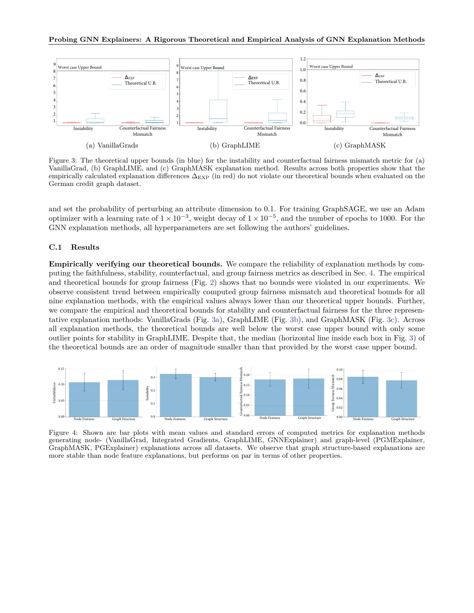<span id="page-23-1"></span>

Figure 3: The theoretical upper bounds (in blue) for the instability and counterfactual fairness mismatch metric for (a) VanillaGrad, (b) GraphLIME, and (c) GraphMASK explanation method. Results across both properties show that the empirically calculated explanation differences  $\Delta_{\rm EXP}$  (in red) do not violate our theoretical bounds when evaluated on the German credit graph dataset.

and set the probability of perturbing an attribute dimension to 0.1. For training GraphSAGE, we use an Adam optimizer with a learning rate of  $1 \times 10^{-3}$ , weight decay of  $1 \times 10^{-5}$ , and the number of epochs to 1000. For the GNN explanation methods, all hyperparameters are set following the authors' guidelines.

### **C.1 Results**

**Empirically verifying our theoretical bounds.** We compare the reliability of explanation methods by computing the faithfulness, stability, counterfactual, and group fairness metrics as described in Sec. [4.](#page-6-0) The empirical and theoretical bounds for group fairness (Fig. [2\)](#page-21-1) shows that no bounds were violated in our experiments. We observe consistent trend between empirically computed group fairness mismatch and theoretical bounds for all nine explanation methods, with the empirical values always lower than our theoretical upper bounds. Further, we compare the empirical and theoretical bounds for stability and counterfactual fairness for the three representative explanation methods: VanillaGrads (Fig. [3a\)](#page-23-1), GraphLIME (Fig. [3b\)](#page-23-1), and GraphMASK (Fig. [3c\)](#page-23-1). Across all explanation methods, the theoretical bounds are well below the worst case upper bound with only some outlier points for stability in GraphLIME. Despite that, the median (horizontal line inside each box in Fig. [3\)](#page-23-1) of the theoretical bounds are an order of magnitude smaller than that provided by the worst case upper bound.

<span id="page-23-0"></span>

Figure 4: Shown are bar plots with mean values and standard errors of computed metrics for explanation methods generating node- (VanillaGrad, Integrated Gradients, GraphLIME, GNNExplainer) and graph-level (PGMExplainer, GraphMASK, PGExplainer) explanations across all datasets. We observe that graph structure-based explanations are more stable than node feature explanations, but performs on par in terms of other properties.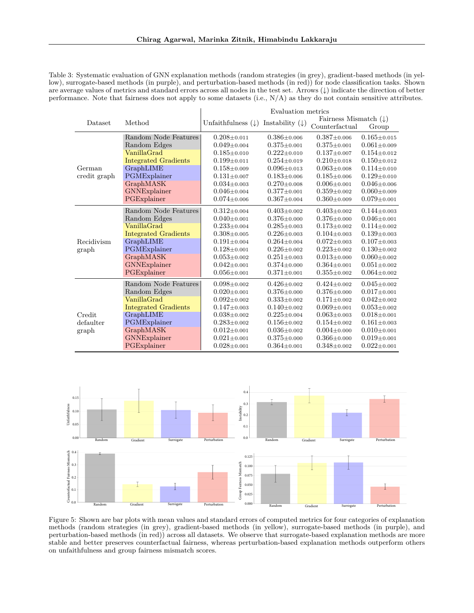<span id="page-24-1"></span>Table 3: Systematic evaluation of GNN explanation methods (random strategies (in grey), gradient-based methods (in yellow), surrogate-based methods (in purple), and perturbation-based methods (in red)) for node classification tasks. Shown are average values of metrics and standard errors across all nodes in the test set. Arrows (↓) indicate the direction of better performance. Note that fairness does not apply to some datasets (i.e., N/A) as they do not contain sensitive attributes.

|              |                             | Evaluation metrics            |                            |                                  |                   |
|--------------|-----------------------------|-------------------------------|----------------------------|----------------------------------|-------------------|
| Dataset      | Method                      | Unfaithfulness $(\downarrow)$ | Instability $(\downarrow)$ | Fairness Mismatch $(\downarrow)$ |                   |
|              |                             |                               |                            | Counterfactual                   | Group             |
|              | Random Node Features        | $0.208 + 0.011$               | $0.386 \pm 0.006$          | $0.387 \pm 0.006$                | $0.165 \pm 0.015$ |
|              | Random Edges                | $0.049 \pm 0.004$             | $0.375 \pm 0.001$          | $0.375 \pm 0.001$                | $0.061 \pm 0.009$ |
|              | VanillaGrad                 | $0.185 \pm 0.010$             | $0.222 + 0.010$            | $0.137 \pm 0.007$                | $0.154 \pm 0.012$ |
|              | <b>Integrated Gradients</b> | $0.199 \pm 0.011$             | $0.254 \pm 0.019$          | $0.210 \pm 0.018$                | $0.150 \pm 0.012$ |
| German       | GraphLIME                   | $0.158 \pm 0.009$             | $0.096 \pm 0.013$          | $0.063 \pm 0.008$                | $0.114 \pm 0.010$ |
| credit graph | PGMExplainer                | $0.131 \pm 0.007$             | $0.183 \pm 0.006$          | $0.185 \pm 0.006$                | $0.129 \pm 0.010$ |
|              | GraphMASK                   | $0.034 \pm 0.003$             | $0.270 \pm 0.008$          | $0.006 \pm 0.001$                | $0.046 \pm 0.006$ |
|              | GNNExplainer                | $0.046 \pm 0.004$             | $0.377 \pm 0.001$          | $0.359 \pm 0.002$                | $0.060 \pm 0.009$ |
|              | PGExplainer                 | $0.074 \pm 0.006$             | $0.367 \pm 0.004$          | $0.360 \pm 0.009$                | $0.079 \pm 0.001$ |
|              | Random Node Features        | $0.312 \pm 0.004$             | $0.403 \pm 0.002$          | $0.403 \pm 0.002$                | $0.144 \pm 0.003$ |
|              | Random Edges                | $0.040 \pm 0.001$             | $0.376 \pm 0.000$          | $0.376 \pm 0.000$                | $0.046 \pm 0.001$ |
|              | VanillaGrad                 | $0.233 \pm 0.004$             | $0.285 \pm 0.003$          | $0.173 \pm 0.002$                | $0.114 \pm 0.002$ |
|              | <b>Integrated Gradients</b> | $0.308 + 0.005$               | $0.226 \pm 0.003$          | $0.104 \pm 0.003$                | $0.139 \pm 0.003$ |
| Recidivism   | GraphLIME                   | $0.191 \pm 0.004$             | $0.264 \pm 0.004$          | $0.072 \pm 0.003$                | $0.107 \pm 0.003$ |
| graph        | PGMExplainer                | $0.128 \pm 0.001$             | $0.226 \pm 0.002$          | $0.223 \pm 0.002$                | $0.130 \pm 0.002$ |
|              | GraphMASK                   | $0.053 \pm 0.002$             | $0.251 \pm 0.003$          | $0.013 \pm 0.000$                | $0.060 \pm 0.002$ |
|              | GNNExplainer                | $0.042 \pm 0.001$             | $0.374 \pm 0.000$          | $0.364 \pm 0.001$                | $0.051 \pm 0.002$ |
|              | PGExplainer                 | $0.056 \pm 0.001$             | $0.371 \pm 0.001$          | $0.355 \pm 0.002$                | $0.064 \pm 0.002$ |
|              | Random Node Features        | $0.098 \pm 0.002$             | $0.426 \pm 0.002$          | $0.424 \pm 0.002$                | $0.045 \pm 0.002$ |
|              | Random Edges                | $0.020 \pm 0.001$             | $0.376 \pm 0.000$          | $0.376 \pm 0.000$                | $0.017 \pm 0.001$ |
|              | VanillaGrad                 | $0.092 \pm 0.002$             | $0.333 \pm 0.002$          | $0.171 \pm 0.002$                | $0.042 \pm 0.002$ |
|              | <b>Integrated Gradients</b> | $0.147 \pm 0.003$             | $0.140 \pm 0.002$          | $0.069 \pm 0.001$                | $0.053 \pm 0.002$ |
| Credit       | GraphLIME                   | $0.038 \pm 0.002$             | $0.225 \pm 0.004$          | $0.063 \pm 0.003$                | $0.018 \pm 0.001$ |
| defaulter    | PGMExplainer                | $0.283{\pm}0.002$             | $0.156 \pm 0.002$          | $0.154 \pm 0.002$                | $0.161 \pm 0.003$ |
| graph        | <b>GraphMASK</b>            | $0.012 \pm 0.001$             | $0.036 \pm 0.002$          | $0.004 \pm 0.000$                | $0.010 \pm 0.001$ |
|              | GNNExplainer                | $0.021 \pm 0.001$             | $0.375 \pm 0.000$          | $0.366 \pm 0.000$                | $0.019 \pm 0.001$ |
|              | PGExplainer                 | $0.028 \pm 0.001$             | $0.364 \pm 0.001$          | $0.348 \pm 0.002$                | $0.022 \pm 0.001$ |

<span id="page-24-0"></span>

Figure 5: Shown are bar plots with mean values and standard errors of computed metrics for four categories of explanation methods (random strategies (in grey), gradient-based methods (in yellow), surrogate-based methods (in purple), and perturbation-based methods (in red)) across all datasets. We observe that surrogate-based explanation methods are more stable and better preserves counterfactual fairness, whereas perturbation-based explanation methods outperform others on unfaithfulness and group fairness mismatch scores.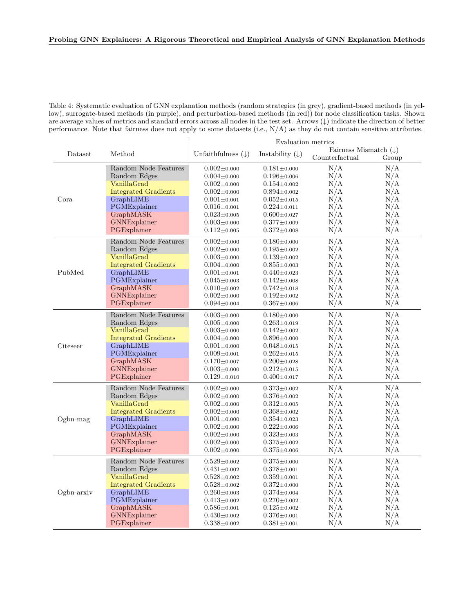## **Probing GNN Explainers: A Rigorous Theoretical and Empirical Analysis of GNN Explanation Methods**

<span id="page-25-0"></span>Table 4: Systematic evaluation of GNN explanation methods (random strategies (in grey), gradient-based methods (in yellow), surrogate-based methods (in purple), and perturbation-based methods (in red)) for node classification tasks. Shown are average values of metrics and standard errors across all nodes in the test set. Arrows (↓) indicate the direction of better performance. Note that fairness does not apply to some datasets (i.e., N/A) as they do not contain sensitive attributes.

|            |                             | Evaluation metrics            |                            |                                  |       |
|------------|-----------------------------|-------------------------------|----------------------------|----------------------------------|-------|
| Dataset    | Method                      | Unfaithfulness $(\downarrow)$ | Instability $(\downarrow)$ | Fairness Mismatch $(\downarrow)$ |       |
|            |                             |                               |                            | Counterfactual                   | Group |
| Cora       | Random Node Features        | $0.002 \pm 0.000$             | $0.181 \pm 0.000$          | N/A                              | N/A   |
|            | Random Edges                | $0.004 \pm 0.000$             | $0.196 \pm 0.006$          | N/A                              | N/A   |
|            | VanillaGrad                 | $0.002 \pm 0.000$             | $0.154 \pm 0.002$          | N/A                              | N/A   |
|            | <b>Integrated Gradients</b> | $0.002 \pm 0.000$             | $0.894 \pm 0.002$          | N/A                              | N/A   |
|            | GraphLIME                   | $0.001\pm$ 0.001              | $0.052 \pm 0.015$          | N/A                              | N/A   |
|            | PGMExplainer                | $0.016{\pm}0.001$             | $0.224 \pm 0.011$          | N/A                              | N/A   |
|            | GraphMASK                   | $0.023 \pm 0.005$             | $0.600 \pm 0.027$          | N/A                              | N/A   |
|            | GNNExplainer                | $0.003 \pm 0.000$             | $0.377 + 0.009$            | N/A                              | N/A   |
|            | PGExplainer                 | $0.112 \pm 0.005$             | $0.372 \pm 0.008$          | N/A                              | N/A   |
|            | Random Node Features        | $0.002 \pm 0.000$             | $0.180 \pm 0.000$          | N/A                              | N/A   |
|            | Random Edges                | $0.002 \pm 0.000$             | $0.195 \pm 0.002$          | N/A                              | N/A   |
|            | VanillaGrad                 | $0.003 \pm 0.000$             | $0.139 \pm 0.002$          | N/A                              | N/A   |
|            | <b>Integrated Gradients</b> | $0.004 \pm 0.000$             | $0.855 \pm 0.003$          | N/A                              | N/A   |
| PubMed     | GraphLIME                   | $0.001 \pm 0.001$             | $0.440 \pm 0.023$          | N/A                              | N/A   |
|            | PGMExplainer                | $0.045 \pm 0.003$             | $0.142 \pm 0.008$          | N/A                              | N/A   |
|            | GraphMASK                   | $0.010 \pm 0.002$             | $0.742 \pm 0.018$          | N/A                              | N/A   |
|            | GNNExplainer                | $0.002 \pm 0.000$             | $0.192 \pm 0.002$          | N/A                              | N/A   |
|            | PGExplainer                 | $0.094 \pm 0.004$             | $0.367 \pm 0.006$          | N/A                              | N/A   |
|            | Random Node Features        | $0.003 \pm 0.000$             | $0.180 \pm 0.000$          | N/A                              | N/A   |
|            | Random Edges                | $0.005 \pm 0.000$             | $0.263 \pm 0.019$          | N/A                              | N/A   |
|            | VanillaGrad                 | $0.003 \pm 0.000$             | $0.142 \pm 0.002$          | N/A                              | N/A   |
|            | <b>Integrated Gradients</b> | $0.004\pm0.000$               | $0.896 \pm 0.000$          | N/A                              | N/A   |
| Citeseer   | GraphLIME                   | $0.001 \pm 0.000$             | $0.048 \pm 0.015$          | N/A                              | N/A   |
|            | PGMExplainer                | $0.009 \pm 0.001$             | $0.262 \pm 0.015$          | N/A                              | N/A   |
|            | GraphMASK                   | $0.170 \pm 0.007$             | $0.200 \pm 0.028$          | N/A                              | N/A   |
|            | GNNExplainer                | $0.003 \pm 0.000$             | $0.212 \pm 0.015$          | N/A                              | N/A   |
|            | PGExplainer                 | $0.129 \pm 0.010$             | $0.400 \pm 0.017$          | N/A                              | N/A   |
|            | Random Node Features        | $0.002 \pm 0.000$             | $0.373 \pm 0.002$          | N/A                              | N/A   |
|            | Random Edges                | $0.002 \pm 0.000$             | $0.376 \pm 0.002$          | N/A                              | N/A   |
|            | VanillaGrad                 | $0.002 \pm 0.000$             | $0.312 \pm 0.005$          | N/A                              | N/A   |
| $Ogbn-mag$ | <b>Integrated Gradients</b> | $0.002 \pm 0.000$             | $0.368 \pm 0.002$          | N/A                              | N/A   |
|            | GraphLIME                   | $0.001 \pm 0.000$             | $0.354 \pm 0.023$          | N/A                              | N/A   |
|            | PGMExplainer                | $0.002{\pm}0.000$             | $0.222 \pm 0.006$          | N/A                              | N/A   |
|            | GraphMASK                   | $0.002 \pm 0.000$             | $0.323 \pm 0.003$          | N/A                              | N/A   |
|            | GNNExplainer                | $0.002 \pm 0.000$             | $0.375 \pm 0.002$          | N/A                              | N/A   |
|            | PGExplainer                 | $0.002 \pm 0.000$             | $0.375 \pm 0.006$          | N/A                              | N/A   |
|            | Random Node Features        | $0.529 \pm 0.002$             | $0.375 \pm 0.000$          | N/A                              | N/A   |
|            | Random Edges                | $0.431 \pm 0.002$             | $0.378 \pm 0.001$          | N/A                              | N/A   |
|            | VanillaGrad                 | $0.528 \pm 0.002$             | $0.359 \pm 0.001$          | N/A                              | N/A   |
|            | <b>Integrated Gradients</b> | $0.528 \pm 0.002$             | $0.372 \pm 0.000$          | N/A                              | N/A   |
| Ogbn-arxiv | GraphLIME                   | $0.260 \pm 0.003$             | $0.374 \pm 0.004$          | N/A                              | N/A   |
|            | PGMExplainer                | $0.413 \pm 0.002$             | $0.270 \pm 0.002$          | N/A                              | N/A   |
|            | GraphMASK                   | $0.586 \pm 0.001$             | $0.125 \pm 0.002$          | N/A                              | N/A   |
|            | GNNExplainer                | $0.430 \pm 0.002$             | $0.376 \pm 0.001$          | N/A                              | N/A   |
|            | PGExplainer                 | $0.338 \pm 0.002$             | $0.381 \pm 0.001$          | N/A                              | N/A   |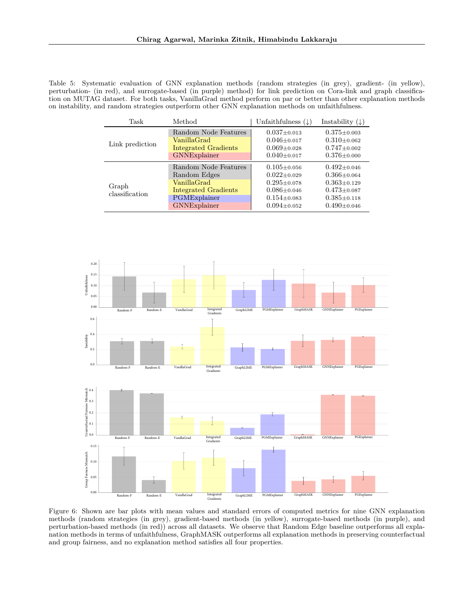<span id="page-26-1"></span>Table 5: Systematic evaluation of GNN explanation methods (random strategies (in grey), gradient- (in yellow), perturbation- (in red), and surrogate-based (in purple) method) for link prediction on Cora-link and graph classification on MUTAG dataset. For both tasks, VanillaGrad method perform on par or better than other explanation methods on instability, and random strategies outperform other GNN explanation methods on unfaithfulness.

| Task                    | Method                                                                                                             | Unfaithfulness $(\downarrow)$                                                                                              | Instability $(\downarrow)$                                                                                                 |
|-------------------------|--------------------------------------------------------------------------------------------------------------------|----------------------------------------------------------------------------------------------------------------------------|----------------------------------------------------------------------------------------------------------------------------|
| Link prediction         | Random Node Features<br>VanillaGrad<br><b>Integrated Gradients</b><br>GNNExplainer                                 | $0.037 + 0.013$<br>$0.046 \pm 0.017$<br>$0.069 \pm 0.028$<br>$0.040 \pm 0.017$                                             | $0.375 \pm 0.003$<br>$0.310 \pm 0.062$<br>$0.747 \pm 0.002$<br>$0.376 \pm 0.000$                                           |
| Graph<br>classification | Random Node Features<br>Random Edges<br>VanillaGrad<br><b>Integrated Gradients</b><br>PGMExplainer<br>GNNExplainer | $0.105 \pm 0.056$<br>$0.022 \pm 0.029$<br>$0.295 \pm 0.078$<br>$0.086 \pm 0.046$<br>$0.154 \pm 0.083$<br>$0.094 \pm 0.052$ | $0.492 \pm 0.046$<br>$0.366 \pm 0.064$<br>$0.363 \pm 0.129$<br>$0.473 \pm 0.087$<br>$0.385 \pm 0.118$<br>$0.490 \pm 0.046$ |

<span id="page-26-0"></span>

Figure 6: Shown are bar plots with mean values and standard errors of computed metrics for nine GNN explanation methods (random strategies (in grey), gradient-based methods (in yellow), surrogate-based methods (in purple), and perturbation-based methods (in red)) across all datasets. We observe that Random Edge baseline outperforms all explanation methods in terms of unfaithfulness, GraphMASK outperforms all explanation methods in preserving counterfactual and group fairness, and no explanation method satisfies all four properties.